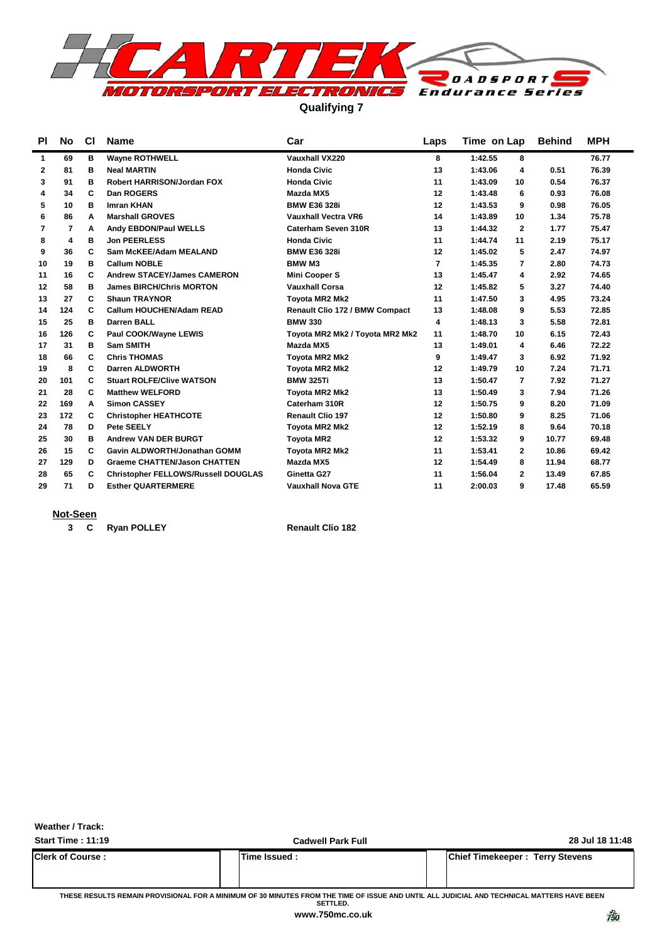

**Qualifying 7**

| ΡI           | No  | <b>CI</b> | Name                                       | Car                                   | Laps | Time on Lap             | <b>Behind</b> | <b>MPH</b> |
|--------------|-----|-----------|--------------------------------------------|---------------------------------------|------|-------------------------|---------------|------------|
| $\mathbf{1}$ | 69  | в         | <b>Wayne ROTHWELL</b>                      | Vauxhall VX220                        | 8    | 1:42.55<br>8            |               | 76.77      |
| 2            | 81  | в         | <b>Neal MARTIN</b>                         | <b>Honda Civic</b>                    | 13   | 1:43.06<br>4            | 0.51          | 76.39      |
| 3            | 91  | в         | <b>Robert HARRISON/Jordan FOX</b>          | <b>Honda Civic</b>                    | 11   | 1:43.09<br>10           | 0.54          | 76.37      |
| 4            | 34  | C         | Dan ROGERS                                 | Mazda MX5                             | 12   | 1:43.48<br>6            | 0.93          | 76.08      |
| 5            | 10  | в         | <b>Imran KHAN</b>                          | <b>BMW E36 328i</b>                   | 12   | 1:43.53<br>9            | 0.98          | 76.05      |
| 6            | 86  | A         | <b>Marshall GROVES</b>                     | <b>Vauxhall Vectra VR6</b>            | 14   | 1:43.89<br>10           | 1.34          | 75.78      |
| 7            | 7   | A         | Andy EBDON/Paul WELLS                      | Caterham Seven 310R                   | 13   | 1:44.32<br>$\mathbf{2}$ | 1.77          | 75.47      |
| 8            | 4   | в         | <b>Jon PEERLESS</b>                        | <b>Honda Civic</b>                    | 11   | 1:44.74<br>11           | 2.19          | 75.17      |
| 9            | 36  | C         | Sam McKEE/Adam MEALAND                     | <b>BMW E36 328i</b>                   | 12   | 1:45.02<br>5            | 2.47          | 74.97      |
| 10           | 19  | в         | <b>Callum NOBLE</b>                        | <b>BMW M3</b>                         | 7    | 1:45.35<br>7            | 2.80          | 74.73      |
| 11           | 16  | C         | <b>Andrew STACEY/James CAMERON</b>         | <b>Mini Cooper S</b>                  | 13   | 1:45.47<br>4            | 2.92          | 74.65      |
| 12           | 58  | в         | <b>James BIRCH/Chris MORTON</b>            | <b>Vauxhall Corsa</b>                 | 12   | 1:45.82<br>5            | 3.27          | 74.40      |
| 13           | 27  | C         | <b>Shaun TRAYNOR</b>                       | <b>Tovota MR2 Mk2</b>                 | 11   | 1:47.50<br>3            | 4.95          | 73.24      |
| 14           | 124 | C         | <b>Callum HOUCHEN/Adam READ</b>            | <b>Renault Clio 172 / BMW Compact</b> | 13   | 1:48.08<br>9            | 5.53          | 72.85      |
| 15           | 25  | в         | <b>Darren BALL</b>                         | <b>BMW 330</b>                        | 4    | 1:48.13<br>3            | 5.58          | 72.81      |
| 16           | 126 | C         | Paul COOK/Wayne LEWIS                      | Toyota MR2 Mk2 / Toyota MR2 Mk2       | 11   | 1:48.70<br>10           | 6.15          | 72.43      |
| 17           | 31  | в         | <b>Sam SMITH</b>                           | Mazda MX5                             | 13   | 1:49.01<br>4            | 6.46          | 72.22      |
| 18           | 66  | C         | <b>Chris THOMAS</b>                        | <b>Tovota MR2 Mk2</b>                 | 9    | 1:49.47<br>3            | 6.92          | 71.92      |
| 19           | 8   | C         | <b>Darren ALDWORTH</b>                     | Toyota MR2 Mk2                        | 12   | 1:49.79<br>10           | 7.24          | 71.71      |
| 20           | 101 | C         | <b>Stuart ROLFE/Clive WATSON</b>           | <b>BMW 325Ti</b>                      | 13   | 1:50.47<br>7            | 7.92          | 71.27      |
| 21           | 28  | C         | <b>Matthew WELFORD</b>                     | <b>Tovota MR2 Mk2</b>                 | 13   | 1:50.49<br>3            | 7.94          | 71.26      |
| 22           | 169 | A         | <b>Simon CASSEY</b>                        | Caterham 310R                         | 12   | 1:50.75<br>9            | 8.20          | 71.09      |
| 23           | 172 | C         | <b>Christopher HEATHCOTE</b>               | <b>Renault Clio 197</b>               | 12   | 1:50.80<br>9            | 8.25          | 71.06      |
| 24           | 78  | D         | Pete SEELY                                 | <b>Tovota MR2 Mk2</b>                 | 12   | 1:52.19<br>8            | 9.64          | 70.18      |
| 25           | 30  | в         | <b>Andrew VAN DER BURGT</b>                | <b>Toyota MR2</b>                     | 12   | 1:53.32<br>9            | 10.77         | 69.48      |
| 26           | 15  | C         | Gavin ALDWORTH/Jonathan GOMM               | <b>Tovota MR2 Mk2</b>                 | 11   | 1:53.41<br>$\mathbf{2}$ | 10.86         | 69.42      |
| 27           | 129 | D         | <b>Graeme CHATTEN/Jason CHATTEN</b>        | Mazda MX5                             | 12   | 1:54.49<br>8            | 11.94         | 68.77      |
| 28           | 65  | C         | <b>Christopher FELLOWS/Russell DOUGLAS</b> | Ginetta G27                           | 11   | 1:56.04<br>$\mathbf{2}$ | 13.49         | 67.85      |
| 29           | 71  | D         | <b>Esther QUARTERMERE</b>                  | <b>Vauxhall Nova GTE</b>              | 11   | 2:00.03<br>9            | 17.48         | 65.59      |
|              |     |           |                                            |                                       |      |                         |               |            |

### **Not-Seen**

**2 C** Ryan POLLEY Renault Clio 182

**Weather / Track:** 

**Start Time : 11:19 Cadwell Park Full 28 Jul 18 11:48 Clerk of Course : Time Issued : Chief Timekeeper : Terry Stevens**

**THESE RESULTS REMAIN PROVISIONAL FOR A MINIMUM OF 30 MINUTES FROM THE TIME OF ISSUE AND UNTIL ALL JUDICIAL AND TECHNICAL MATTERS HAVE BEEN SETTLED.**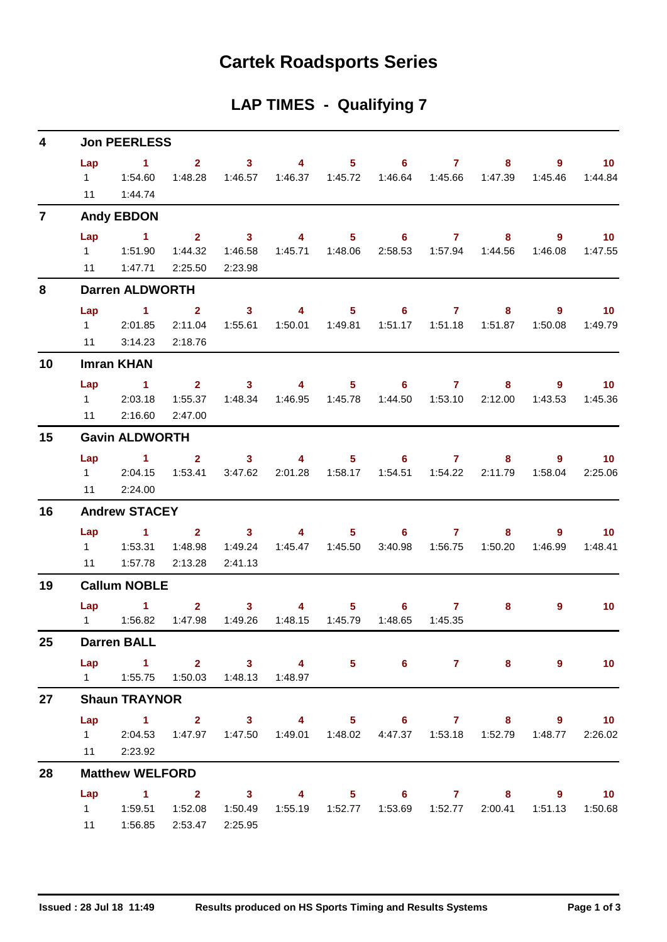## **Cartek Roadsports Series**

## **LAP TIMES - Qualifying 7**

| 4              | <b>Jon PEERLESS</b>                                                                                      |                                                                                                       |                |                                                |                         |                  |                              |                   |                                                               |              |                              |  |  |  |
|----------------|----------------------------------------------------------------------------------------------------------|-------------------------------------------------------------------------------------------------------|----------------|------------------------------------------------|-------------------------|------------------|------------------------------|-------------------|---------------------------------------------------------------|--------------|------------------------------|--|--|--|
|                | Lap<br>11                                                                                                | $\sim$ $\sim$ 1<br>1:44.74                                                                            | 1:48.28        | $2 \qquad \qquad 3 \qquad \qquad 4$<br>1:46.57 |                         |                  | $5 \t\t 6 \t\t 7$<br>1:46.64 |                   | 8<br>1:45.66  1:47.39                                         | 9<br>1:45.46 | $\blacksquare$ 10<br>1:44.84 |  |  |  |
| $\overline{7}$ |                                                                                                          | <b>Andy EBDON</b>                                                                                     |                |                                                |                         |                  |                              |                   |                                                               |              |                              |  |  |  |
|                | Lap                                                                                                      | $\sim$ 1                                                                                              | 2 <sup>1</sup> | $\sim$ 3                                       | $\overline{\mathbf{4}}$ | 5 <sub>1</sub>   | $\overline{\phantom{a}}$ 6   | $\overline{7}$    | 8                                                             | 9            | $\overline{10}$              |  |  |  |
|                |                                                                                                          |                                                                                                       | 1:44.32        | 1:46.58                                        |                         |                  |                              |                   |                                                               | 1:46.08      | 1:47.55                      |  |  |  |
|                |                                                                                                          | 11   1:47.71                                                                                          | 2:25.50        | 2:23.98                                        |                         |                  |                              |                   |                                                               |              |                              |  |  |  |
| 8              |                                                                                                          | <b>Darren ALDWORTH</b>                                                                                |                |                                                |                         |                  |                              |                   |                                                               |              |                              |  |  |  |
|                | Lap                                                                                                      | $\sim$ 1 $\sim$ 2                                                                                     |                | $\sim$ 3                                       |                         |                  | 4 5 6 7                      |                   | 8                                                             | 9            | $\blacksquare$ 10            |  |  |  |
|                | $1 \quad \Box$                                                                                           | 2:01.85                                                                                               | 2:11.04        | 1:55.61                                        |                         | 1:50.01  1:49.81 |                              |                   |                                                               | 1:50.08      | 1:49.79                      |  |  |  |
|                | 11                                                                                                       | 3:14.23                                                                                               | 2:18.76        |                                                |                         |                  |                              |                   |                                                               |              |                              |  |  |  |
| 10             |                                                                                                          | <b>Imran KHAN</b>                                                                                     |                |                                                |                         |                  |                              |                   |                                                               |              |                              |  |  |  |
|                | Lap                                                                                                      | $\blacktriangleleft$                                                                                  | $2^{\circ}$    | 3 <sup>1</sup>                                 | $\sim$ 4                |                  | $5 \t\t 6$                   | $\sim$ 7 $\sim$ 7 | 8.                                                            | $9^{\circ}$  | $\blacksquare$ 10            |  |  |  |
|                |                                                                                                          | 1 2:03.18                                                                                             | 1:55.37        | 1:48.34                                        |                         |                  |                              |                   | 1:44.50  1:53.10  2:12.00                                     | 1:43.53      | 1:45.36                      |  |  |  |
|                |                                                                                                          | 11 2:16.60                                                                                            | 2:47.00        |                                                |                         |                  |                              |                   |                                                               |              |                              |  |  |  |
| 15             | <b>Gavin ALDWORTH</b><br>$\overline{1}$ $\overline{2}$<br>Lap<br>$3 \t 4$<br>$5 \t\t 6 \t\t 7$<br>8<br>9 |                                                                                                       |                |                                                |                         |                  |                              |                   |                                                               |              |                              |  |  |  |
|                |                                                                                                          |                                                                                                       |                |                                                |                         |                  |                              |                   |                                                               |              | $\sim$ 10                    |  |  |  |
|                | 11                                                                                                       | 12:04.15<br>2:24.00                                                                                   | 1:53.41        | 3:47.62                                        | 2:01.28                 | 1:58.17          | 1:54.51                      | 1:54.22           | 2:11.79                                                       | 1:58.04      | 2:25.06                      |  |  |  |
| 16             |                                                                                                          | <b>Andrew STACEY</b>                                                                                  |                |                                                |                         |                  |                              |                   |                                                               |              |                              |  |  |  |
|                |                                                                                                          |                                                                                                       |                |                                                |                         |                  |                              |                   |                                                               |              |                              |  |  |  |
|                | Lap                                                                                                      | $\blacktriangleleft$                                                                                  | 1:48.98        | $2 \t 3$<br>1:49.24                            | $\overline{4}$          | 1:45.47  1:45.50 | $5\qquad 6\qquad$<br>3:40.98 | $7^{\circ}$       | 8                                                             | 9<br>1:46.99 | 10 <sup>°</sup><br>1:48.41   |  |  |  |
|                | 11                                                                                                       | 1:57.78                                                                                               | 2:13.28        | 2:41.13                                        |                         |                  |                              |                   |                                                               |              |                              |  |  |  |
| 19             |                                                                                                          | <b>Callum NOBLE</b>                                                                                   |                |                                                |                         |                  |                              |                   |                                                               |              |                              |  |  |  |
|                | Lap                                                                                                      | $\sim$ $-1$                                                                                           | $2^{\circ}$    | $\sim$ 3                                       | $\overline{4}$          |                  | $5 \t\t 6 \t\t 7$            |                   | 8                                                             | 9            | 10 <sup>°</sup>              |  |  |  |
|                | $1 \quad \Box$                                                                                           | 1:56.82                                                                                               | 1:47.98        | 1:49.26                                        | 1:48.15                 | 1:45.79          | 1:48.65                      | 1:45.35           |                                                               |              |                              |  |  |  |
| 25             |                                                                                                          | <b>Darren BALL</b>                                                                                    |                |                                                |                         |                  |                              |                   |                                                               |              |                              |  |  |  |
|                |                                                                                                          | Lap 1 2 3 4                                                                                           |                |                                                |                         |                  |                              |                   | $5 \t\t 6 \t\t 7 \t\t 8$                                      | $9^{\circ}$  | $-10$                        |  |  |  |
|                |                                                                                                          | 1   1:55.75   1:50.03   1:48.13   1:48.97                                                             |                |                                                |                         |                  |                              |                   |                                                               |              |                              |  |  |  |
| 27             |                                                                                                          | <b>Shaun TRAYNOR</b>                                                                                  |                |                                                |                         |                  |                              |                   |                                                               |              |                              |  |  |  |
|                | Lap                                                                                                      | 1 2 3 4 5 6 7 8                                                                                       |                |                                                |                         |                  |                              |                   |                                                               |              | $9 \t 10$                    |  |  |  |
|                |                                                                                                          | 1 2:04.53 1:47.97 1:47.50                                                                             |                |                                                |                         |                  |                              |                   | 1:49.01  1:48.02  4:47.37  1:53.18  1:52.79  1:48.77  2:26.02 |              |                              |  |  |  |
|                |                                                                                                          | 11 2:23.92                                                                                            |                |                                                |                         |                  |                              |                   |                                                               |              |                              |  |  |  |
| 28             |                                                                                                          | <b>Matthew WELFORD</b>                                                                                |                |                                                |                         |                  |                              |                   |                                                               |              |                              |  |  |  |
|                | Lap                                                                                                      | $\overline{1}$ $\overline{2}$                                                                         |                | $\sim$ 3                                       |                         |                  |                              |                   | 4 5 6 7 8 9 10                                                |              |                              |  |  |  |
|                |                                                                                                          | 1   1:59.51   1:52.08   1:50.49   1:55.19   1:52.77   1:53.69   1:52.77   2:00.41   1:51.13   1:50.68 |                |                                                |                         |                  |                              |                   |                                                               |              |                              |  |  |  |
|                |                                                                                                          | 11  1:56.85  2:53.47  2:25.95                                                                         |                |                                                |                         |                  |                              |                   |                                                               |              |                              |  |  |  |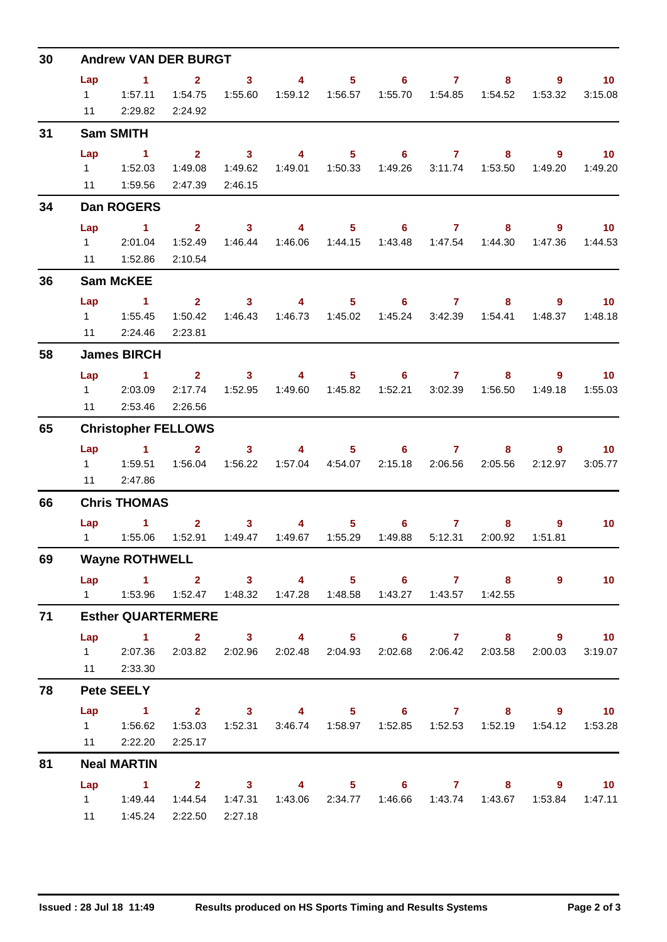| 30 | <b>Andrew VAN DER BURGT</b> |                                                                                                          |                                               |                                                                                                                                                                                                                                                                                                                                                                                                                                    |                           |                                    |                                       |                                                        |                                                                                 |                        |                            |  |  |  |
|----|-----------------------------|----------------------------------------------------------------------------------------------------------|-----------------------------------------------|------------------------------------------------------------------------------------------------------------------------------------------------------------------------------------------------------------------------------------------------------------------------------------------------------------------------------------------------------------------------------------------------------------------------------------|---------------------------|------------------------------------|---------------------------------------|--------------------------------------------------------|---------------------------------------------------------------------------------|------------------------|----------------------------|--|--|--|
|    | Lap<br>11                   | $\sim$ 1<br>1 1:57.11<br>2:29.82                                                                         | $\overline{2}$<br>1:54.75<br>2:24.92          | $\mathbf{3}$<br>1:55.60                                                                                                                                                                                                                                                                                                                                                                                                            | $\overline{4}$            |                                    | $5 \t\t 6 \t\t 7$<br>1:55.70          |                                                        | 8                                                                               | 9<br>1:53.32           | 10 <sub>1</sub><br>3:15.08 |  |  |  |
| 31 |                             | <b>Sam SMITH</b>                                                                                         |                                               |                                                                                                                                                                                                                                                                                                                                                                                                                                    |                           |                                    |                                       |                                                        |                                                                                 |                        |                            |  |  |  |
|    | Lap                         | $\blacktriangleleft$<br>11  1:59.56                                                                      | $2^{\circ}$<br>1:49.08<br>2:47.39             | $\sim$ 3<br>1:49.62<br>2:46.15                                                                                                                                                                                                                                                                                                                                                                                                     | $\overline{4}$            | 5 <sub>1</sub><br>1:49.01  1:50.33 | 6<br>1:49.26                          | $\mathbf{7}$                                           | 8<br>3:11.74  1:53.50                                                           | 9<br>1:49.20           | 10 <sub>1</sub><br>1:49.20 |  |  |  |
| 34 |                             | Dan ROGERS                                                                                               |                                               |                                                                                                                                                                                                                                                                                                                                                                                                                                    |                           |                                    |                                       |                                                        |                                                                                 |                        |                            |  |  |  |
|    | Lap<br>$1 \quad \Box$<br>11 | $\sim$ $\sim$ 1<br>2:01.04<br>1:52.86                                                                    | $\overline{\mathbf{2}}$<br>1:52.49<br>2:10.54 | $\sim$ 3<br>1:46.44                                                                                                                                                                                                                                                                                                                                                                                                                | $\overline{4}$            |                                    | $5 \t\t 6 \t\t 7$                     |                                                        | 8<br>1:43.48  1:47.54  1:44.30                                                  | 9<br>1:47.36           | $\overline{10}$<br>1:44.53 |  |  |  |
| 36 |                             | <b>Sam McKEE</b>                                                                                         |                                               |                                                                                                                                                                                                                                                                                                                                                                                                                                    |                           |                                    |                                       |                                                        |                                                                                 |                        |                            |  |  |  |
|    | Lap                         | $\sim$ 1<br>11 2:24.46                                                                                   | 2 <sup>7</sup><br>1:50.42<br>2:23.81          | 3 <sup>1</sup><br>1:46.43                                                                                                                                                                                                                                                                                                                                                                                                          | $\overline{4}$            | $5 -$                              | 6                                     | $\mathbf{7}$                                           | 8<br>1:45.24   3:42.39   1:54.41                                                | $9^{\circ}$<br>1:48.37 | 10 <sub>1</sub><br>1:48.18 |  |  |  |
| 58 |                             | <b>James BIRCH</b>                                                                                       |                                               |                                                                                                                                                                                                                                                                                                                                                                                                                                    |                           |                                    |                                       |                                                        |                                                                                 |                        |                            |  |  |  |
| 65 | Lap<br>$1 \quad \Box$<br>11 | $\sim$ 1<br>2:03.09<br>2:53.46                                                                           | 2:17.74<br>2:26.56                            | $2 \qquad 3 \qquad 4$<br>1:52.95                                                                                                                                                                                                                                                                                                                                                                                                   |                           | 1:49.60  1:45.82                   | $5 \t\t 6 \t\t 7$<br>1:52.21          | 3:02.39                                                | 8<br>1:56.50                                                                    | 9<br>1:49.18           | 10<br>1:55.03              |  |  |  |
|    |                             | <b>Christopher FELLOWS</b>                                                                               |                                               |                                                                                                                                                                                                                                                                                                                                                                                                                                    |                           |                                    |                                       |                                                        |                                                                                 |                        |                            |  |  |  |
|    | Lap<br>11                   | $\sim$ 1<br>2:47.86                                                                                      | $2^{\circ}$<br>1:56.04                        | 3 <sup>1</sup><br>1:56.22                                                                                                                                                                                                                                                                                                                                                                                                          | $\overline{4}$            | 1:57.04  4:54.07                   | $5^{\circ}$                           | $6 \qquad \qquad$<br>7 <sup>7</sup><br>2:15.18 2:06.56 | 8<br>2:05.56                                                                    | 9<br>2:12.97           | 10 <sup>°</sup><br>3:05.77 |  |  |  |
| 66 | <b>Chris THOMAS</b>         |                                                                                                          |                                               |                                                                                                                                                                                                                                                                                                                                                                                                                                    |                           |                                    |                                       |                                                        |                                                                                 |                        |                            |  |  |  |
|    | Lap<br>$1 \quad$            | $\sim$ $-1$<br>1:55.06                                                                                   | 1:52.91                                       | 3 <sup>1</sup><br>$\overline{\mathbf{2}}$ and $\overline{\mathbf{2}}$ and $\overline{\mathbf{2}}$ and $\overline{\mathbf{2}}$ and $\overline{\mathbf{2}}$ and $\overline{\mathbf{2}}$ and $\overline{\mathbf{2}}$ and $\overline{\mathbf{2}}$ and $\overline{\mathbf{2}}$ and $\overline{\mathbf{2}}$ and $\overline{\mathbf{2}}$ and $\overline{\mathbf{2}}$ and $\overline{\mathbf{2}}$ and $\overline{\mathbf{2}}$ a<br>1:49.47 | $\overline{4}$<br>1:49.67 | 1:55.29                            | $5^{\circ}$<br>$6^{\circ}$<br>1:49.88 | 7<br>5:12.31                                           | 8<br>2:00.92                                                                    | 9<br>1:51.81           | 10 <sup>°</sup>            |  |  |  |
| 69 |                             | <b>Wayne ROTHWELL</b>                                                                                    |                                               |                                                                                                                                                                                                                                                                                                                                                                                                                                    |                           |                                    |                                       |                                                        |                                                                                 |                        |                            |  |  |  |
|    |                             | Lap 1 2 3 4 5 6 7 8<br>1   1:53.96   1:52.47   1:48.32   1:47.28   1:48.58   1:43.27   1:43.57   1:42.55 |                                               |                                                                                                                                                                                                                                                                                                                                                                                                                                    |                           |                                    |                                       |                                                        |                                                                                 | $9^{\circ}$            | 10                         |  |  |  |
| 71 |                             | <b>Esther QUARTERMERE</b>                                                                                |                                               |                                                                                                                                                                                                                                                                                                                                                                                                                                    |                           |                                    |                                       |                                                        |                                                                                 |                        |                            |  |  |  |
|    | Lap                         | 1 2 3 4 5 6 7 8 9 10<br>1 2:07.36 2:03.82 2:02.96 2:02.48 2:04.93 2:02.68 2:06.42 2:03.58<br>11 2:33.30  |                                               |                                                                                                                                                                                                                                                                                                                                                                                                                                    |                           |                                    |                                       |                                                        |                                                                                 | 2:00.03                | 3:19.07                    |  |  |  |
| 78 |                             | <b>Pete SEELY</b>                                                                                        |                                               |                                                                                                                                                                                                                                                                                                                                                                                                                                    |                           |                                    |                                       |                                                        |                                                                                 |                        |                            |  |  |  |
|    | Lap                         | 1 2 3 4 5 6 7 8 9 10<br>11 2:22.20                                                                       | 2:25.17                                       |                                                                                                                                                                                                                                                                                                                                                                                                                                    |                           |                                    |                                       |                                                        | 1:53.03  1:52.31  3:46.74  1:58.97  1:52.85  1:52.53  1:52.19  1:54.12  1:53.28 |                        |                            |  |  |  |
| 81 |                             | <b>Neal MARTIN</b>                                                                                       |                                               |                                                                                                                                                                                                                                                                                                                                                                                                                                    |                           |                                    |                                       |                                                        |                                                                                 |                        |                            |  |  |  |
|    |                             | Lap 1 2 3 4 5 6 7 8 9 10<br>11  1:45.24  2:22.50  2:27.18                                                | 1:44.54                                       |                                                                                                                                                                                                                                                                                                                                                                                                                                    |                           |                                    |                                       |                                                        | 1:47.31  1:43.06  2:34.77  1:46.66  1:43.74  1:43.67  1:53.84  1:47.11          |                        |                            |  |  |  |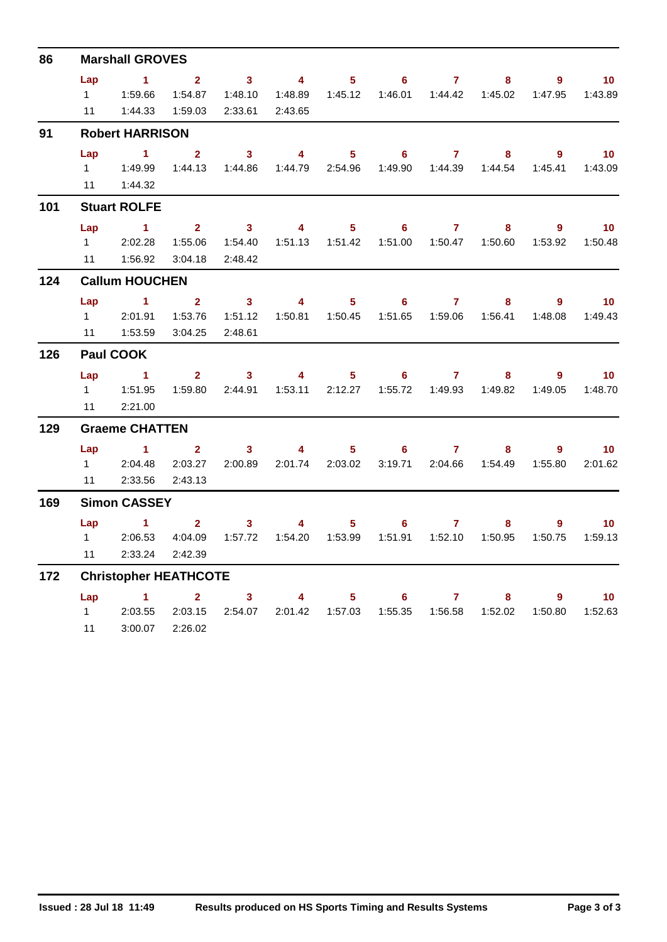| 86  | <b>Marshall GROVES</b> |                              |                |                                                                                                                                                                                                                                                                                                                                                                                                                         |                           |                  |                  |                           |                                             |             |                   |  |  |  |
|-----|------------------------|------------------------------|----------------|-------------------------------------------------------------------------------------------------------------------------------------------------------------------------------------------------------------------------------------------------------------------------------------------------------------------------------------------------------------------------------------------------------------------------|---------------------------|------------------|------------------|---------------------------|---------------------------------------------|-------------|-------------------|--|--|--|
|     | Lap                    | $\sim$ 1                     | 2 <sup>7</sup> | $\overline{\mathbf{3}}$                                                                                                                                                                                                                                                                                                                                                                                                 | $\overline{4}$            | $5 -$            | 6 <sup>1</sup>   | $\overline{7}$            | 8                                           | $9^{\circ}$ | 10 <sub>1</sub>   |  |  |  |
|     |                        |                              | 1:54.87        | 1:48.10                                                                                                                                                                                                                                                                                                                                                                                                                 |                           |                  |                  |                           | 1:46.01  1:44.42  1:45.02                   | 1:47.95     | 1:43.89           |  |  |  |
|     | 11                     | 1:44.33  1:59.03             |                | 2:33.61                                                                                                                                                                                                                                                                                                                                                                                                                 | 2:43.65                   |                  |                  |                           |                                             |             |                   |  |  |  |
| 91  |                        | <b>Robert HARRISON</b>       |                |                                                                                                                                                                                                                                                                                                                                                                                                                         |                           |                  |                  |                           |                                             |             |                   |  |  |  |
|     | Lap                    | $\sim$ 1                     | $\overline{2}$ | $\overline{\mathbf{3}}$                                                                                                                                                                                                                                                                                                                                                                                                 | $\overline{\mathbf{4}}$   | 5 <sup>1</sup>   | $6^{\circ}$      | $\overline{7}$            | 8                                           | 9           | 10                |  |  |  |
|     | $1 \quad$              | 1:49.99                      | 1:44.13        | 1:44.86                                                                                                                                                                                                                                                                                                                                                                                                                 | 1:44.79                   | 2:54.96          |                  |                           | 1:49.90  1:44.39  1:44.54                   | 1:45.41     | 1:43.09           |  |  |  |
|     | 11                     | 1:44.32                      |                |                                                                                                                                                                                                                                                                                                                                                                                                                         |                           |                  |                  |                           |                                             |             |                   |  |  |  |
| 101 |                        | <b>Stuart ROLFE</b>          |                |                                                                                                                                                                                                                                                                                                                                                                                                                         |                           |                  |                  |                           |                                             |             |                   |  |  |  |
|     | Lap                    | $\sim$ 1                     | $\overline{2}$ | $\overline{\mathbf{3}}$                                                                                                                                                                                                                                                                                                                                                                                                 | $\overline{4}$            |                  | $5 \t\t 6$       | 7 <sup>7</sup>            | 8                                           | $9^{\circ}$ | $\blacksquare$ 10 |  |  |  |
|     | $1 \quad$              | 2:02.28                      | 1:55.06        | 1:54.40                                                                                                                                                                                                                                                                                                                                                                                                                 |                           | 1:51.13  1:51.42 |                  |                           | 1:51.00  1:50.47  1:50.60                   | 1:53.92     | 1:50.48           |  |  |  |
|     | 11                     | 1:56.92                      | 3:04.18        | 2:48.42                                                                                                                                                                                                                                                                                                                                                                                                                 |                           |                  |                  |                           |                                             |             |                   |  |  |  |
| 124 | <b>Callum HOUCHEN</b>  |                              |                |                                                                                                                                                                                                                                                                                                                                                                                                                         |                           |                  |                  |                           |                                             |             |                   |  |  |  |
|     | Lap                    | $\sim$ 1 2                   |                | $\overline{\mathbf{3}}$                                                                                                                                                                                                                                                                                                                                                                                                 | $\overline{4}$            | $5 -$            | 6                | $\overline{7}$            | 8                                           | 9           | 10 <sup>°</sup>   |  |  |  |
|     | $1 \quad$              | 2:01.91                      | 1:53.76        | 1:51.12                                                                                                                                                                                                                                                                                                                                                                                                                 |                           |                  |                  |                           | 1:50.81  1:50.45  1:51.65  1:59.06  1:56.41 | 1:48.08     | 1:49.43           |  |  |  |
|     | 11                     | 1:53.59                      | 3:04.25        | 2:48.61                                                                                                                                                                                                                                                                                                                                                                                                                 |                           |                  |                  |                           |                                             |             |                   |  |  |  |
| 126 |                        | Paul COOK                    |                |                                                                                                                                                                                                                                                                                                                                                                                                                         |                           |                  |                  |                           |                                             |             |                   |  |  |  |
|     | Lap                    | $\sim$ 1                     |                | $2 \qquad \qquad 3$                                                                                                                                                                                                                                                                                                                                                                                                     | $\overline{\mathbf{4}}$   |                  | $5 - 1$<br>$6 -$ | $7 \pm 1$                 | 8                                           | 9           | 10 <sup>°</sup>   |  |  |  |
|     |                        |                              | 1:59.80        |                                                                                                                                                                                                                                                                                                                                                                                                                         | 2:44.91  1:53.11  2:12.27 |                  |                  |                           |                                             | 1:49.05     | 1:48.70           |  |  |  |
|     | 11                     | 2:21.00                      |                |                                                                                                                                                                                                                                                                                                                                                                                                                         |                           |                  |                  |                           |                                             |             |                   |  |  |  |
| 129 |                        | <b>Graeme CHATTEN</b>        |                |                                                                                                                                                                                                                                                                                                                                                                                                                         |                           |                  |                  |                           |                                             |             |                   |  |  |  |
|     | Lap                    | $\sim$ 1                     | $\overline{2}$ | 3 <sup>1</sup>                                                                                                                                                                                                                                                                                                                                                                                                          | $\overline{4}$            | 5 <sub>1</sub>   | $6 -$            | $\overline{7}$            | 8                                           | $9^{\circ}$ | 10 <sub>1</sub>   |  |  |  |
|     | $1 \quad$              | 2:04.48                      | 2:03.27        | 2:00.89                                                                                                                                                                                                                                                                                                                                                                                                                 | 2:01.74                   | 2:03.02          |                  |                           | 3:19.71  2:04.66  1:54.49                   | 1:55.80     | 2:01.62           |  |  |  |
|     | 11                     | 2:33.56                      | 2:43.13        |                                                                                                                                                                                                                                                                                                                                                                                                                         |                           |                  |                  |                           |                                             |             |                   |  |  |  |
| 169 |                        | <b>Simon CASSEY</b>          |                |                                                                                                                                                                                                                                                                                                                                                                                                                         |                           |                  |                  |                           |                                             |             |                   |  |  |  |
|     | Lap                    | $\sim$ $-1$                  |                | 3 <sup>1</sup><br>$\overline{\mathbf{2}}$ and $\overline{\mathbf{2}}$ and $\overline{\mathbf{2}}$ and $\overline{\mathbf{2}}$ and $\overline{\mathbf{2}}$ and $\overline{\mathbf{2}}$ and $\overline{\mathbf{2}}$ and $\overline{\mathbf{2}}$ and $\overline{\mathbf{2}}$ and $\overline{\mathbf{2}}$ and $\overline{\mathbf{2}}$ and $\overline{\mathbf{2}}$ and $\overline{\mathbf{2}}$ and $\overline{\mathbf{2}}$ a | $\overline{4}$            |                  | $5 \t\t 6$       | $\mathbf{7}$              | 8.                                          | 9           | 10 <sup>°</sup>   |  |  |  |
|     | $1 \quad$              | 2:06.53                      | 4:04.09        | 1:57.72                                                                                                                                                                                                                                                                                                                                                                                                                 |                           |                  |                  | 1:51.91  1:52.10  1:50.95 |                                             | 1:50.75     | 1:59.13           |  |  |  |
|     | 11                     | 2:33.24                      | 2:42.39        |                                                                                                                                                                                                                                                                                                                                                                                                                         |                           |                  |                  |                           |                                             |             |                   |  |  |  |
| 172 |                        | <b>Christopher HEATHCOTE</b> |                |                                                                                                                                                                                                                                                                                                                                                                                                                         |                           |                  |                  |                           |                                             |             |                   |  |  |  |
|     |                        | Lap 1                        |                | $\overline{\mathbf{2}}$ and $\overline{\mathbf{2}}$ and $\overline{\mathbf{2}}$ and $\overline{\mathbf{2}}$ and $\overline{\mathbf{2}}$ and $\overline{\mathbf{2}}$ and $\overline{\mathbf{2}}$ and $\overline{\mathbf{2}}$ and $\overline{\mathbf{2}}$ and $\overline{\mathbf{2}}$ and $\overline{\mathbf{2}}$ and $\overline{\mathbf{2}}$ and $\overline{\mathbf{2}}$ and $\overline{\mathbf{2}}$ a<br>3 <sup>1</sup> | $\overline{\mathbf{4}}$   | $5 -$            | 6 <sup>1</sup>   | $\mathbf{7}$              | 8                                           | $9^{\circ}$ | 10 <sup>°</sup>   |  |  |  |
|     | $1 \quad \Box$         | 2:03.55                      | 2:03.15        | 2:54.07                                                                                                                                                                                                                                                                                                                                                                                                                 |                           | 2:01.42  1:57.03 | 1:55.35          |                           | 1:56.58  1:52.02                            | 1:50.80     | 1:52.63           |  |  |  |
|     | 11                     | 3:00.07                      | 2:26.02        |                                                                                                                                                                                                                                                                                                                                                                                                                         |                           |                  |                  |                           |                                             |             |                   |  |  |  |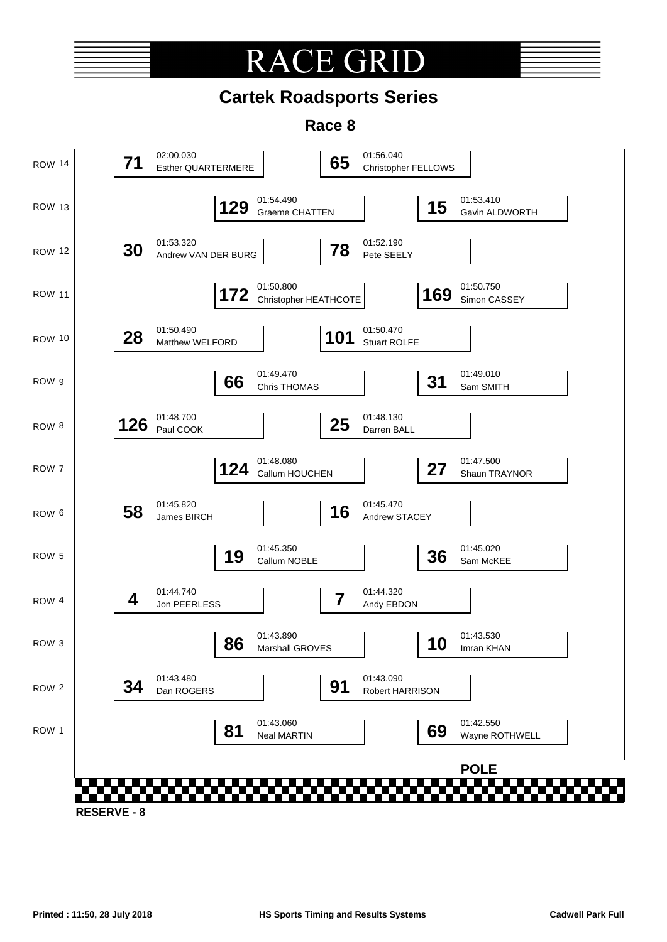# **RACE GR**

### **Cartek Roadsports Series**

**Race 8**

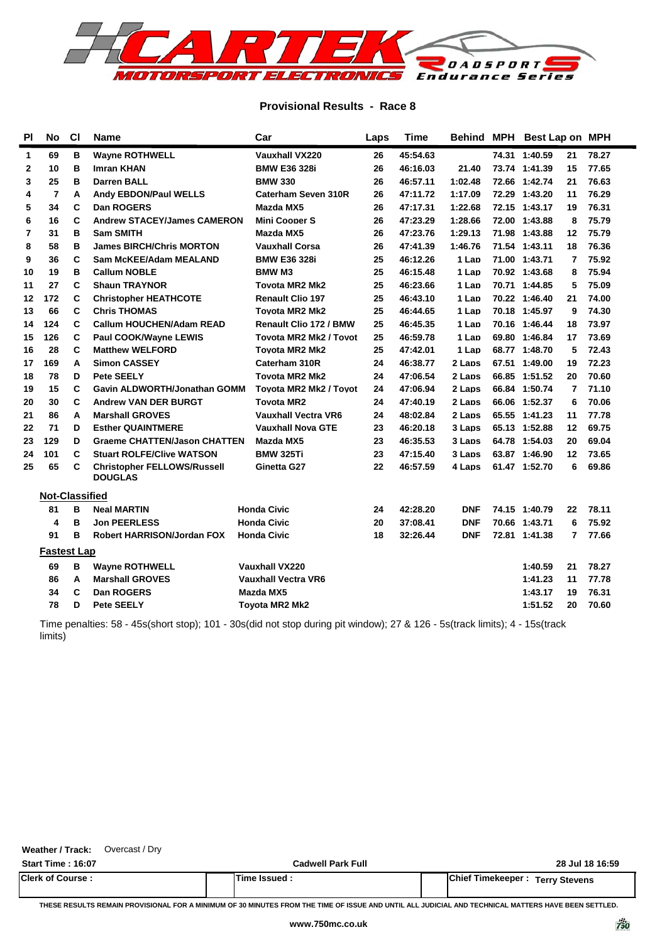

### **Provisional Results - Race 8**

| PI           | <b>No</b>             | <b>CI</b> | <b>Name</b>                                          | Car                           | Laps          | <b>Time</b> |            |  | Behind MPH Best Lap on MPH |                |       |  |
|--------------|-----------------------|-----------|------------------------------------------------------|-------------------------------|---------------|-------------|------------|--|----------------------------|----------------|-------|--|
| 1            | 69                    | в         | <b>Wayne ROTHWELL</b>                                | <b>Vauxhall VX220</b>         | 26            | 45:54.63    |            |  | 74.31 1:40.59              | 21             | 78.27 |  |
| $\mathbf{2}$ | 10                    | B         | Imran KHAN                                           | <b>BMW E36 328i</b>           | 26            | 46:16.03    | 21.40      |  | 73.74 1:41.39              | 15             | 77.65 |  |
| 3            | 25                    | в         | <b>Darren BALL</b>                                   | <b>BMW 330</b>                | 26            | 46:57.11    | 1:02.48    |  | 72.66 1:42.74              | 21             | 76.63 |  |
| 4            | $\overline{7}$        | Α         | <b>Andy EBDON/Paul WELLS</b>                         | Caterham Seven 310R           | 26            | 47:11.72    | 1:17.09    |  | 72.29 1:43.20              | 11             | 76.29 |  |
| 5            | 34                    | C         | Dan ROGERS                                           | Mazda MX5                     | 26            | 47:17.31    | 1:22.68    |  | 72.15 1:43.17              | 19             | 76.31 |  |
| 6            | 16                    | C         | <b>Andrew STACEY/James CAMERON</b>                   | <b>Mini Cooper S</b>          | 26            | 47:23.29    | 1:28.66    |  | 72.00 1:43.88              | 8              | 75.79 |  |
| 7            | 31                    | B         | <b>Sam SMITH</b>                                     | Mazda MX5                     | 26            | 47:23.76    | 1:29.13    |  | 71.98 1:43.88              | 12             | 75.79 |  |
| 8            | 58                    | B         | <b>James BIRCH/Chris MORTON</b>                      | <b>Vauxhall Corsa</b>         | 26            | 47:41.39    | 1:46.76    |  | 71.54 1:43.11              | 18             | 76.36 |  |
| 9            | 36                    | C         | <b>Sam McKEE/Adam MEALAND</b>                        | <b>BMW E36 328i</b>           | 25            | 46:12.26    | 1 Lap      |  | 71.00 1:43.71              | 7              | 75.92 |  |
| 10           | 19                    | в         | <b>Callum NOBLE</b>                                  | <b>BMW M3</b>                 | 25            | 46:15.48    | 1 Lap      |  | 70.92 1:43.68              | 8              | 75.94 |  |
| 11           | 27                    | C         | <b>Shaun TRAYNOR</b>                                 | <b>Tovota MR2 Mk2</b>         | 25            | 46:23.66    | 1 Lap      |  | 70.71 1:44.85              | 5              | 75.09 |  |
| 12           | 172                   | C         | <b>Christopher HEATHCOTE</b>                         | <b>Renault Clio 197</b>       | 25            | 46:43.10    | 1 Lap      |  | 70.22 1:46.40              | 21             | 74.00 |  |
| 13           | 66                    | C         | <b>Chris THOMAS</b>                                  | <b>Tovota MR2 Mk2</b>         | 25            | 46:44.65    | 1 Lap      |  | 70.18 1:45.97              | 9              | 74.30 |  |
| 14           | 124                   | C         | <b>Callum HOUCHEN/Adam READ</b>                      | <b>Renault Clio 172 / BMW</b> | 25            | 46:45.35    | 1 Lap      |  | 70.16 1:46.44              | 18             | 73.97 |  |
| 15           | 126                   | C         | <b>Paul COOK/Wayne LEWIS</b>                         | <b>Tovota MR2 Mk2 / Tovot</b> | 25            | 46:59.78    | 1 Lap      |  | 69.80 1:46.84              | 17             | 73.69 |  |
| 16           | 28                    | C         | <b>Matthew WELFORD</b>                               | <b>Tovota MR2 Mk2</b>         | 25            | 47:42.01    | 1 Lap      |  | 68.77 1:48.70              | 5              | 72.43 |  |
| 17           | 169                   | A         | <b>Simon CASSEY</b>                                  | Caterham 310R                 | 24            | 46:38.77    | 2 Laps     |  | 67.51 1:49.00              | 19             | 72.23 |  |
| 18           | 78                    | D         | <b>Pete SEELY</b>                                    | <b>Tovota MR2 Mk2</b>         | 24            | 47:06.54    | 2 Laps     |  | 66.85 1:51.52              | 20             | 70.60 |  |
| 19           | 15                    | C         | Gavin ALDWORTH/Jonathan GOMM                         | <b>Tovota MR2 Mk2 / Tovot</b> | 24            | 47:06.94    | 2 Laps     |  | 66.84 1:50.74              | 7              | 71.10 |  |
| 20           | 30                    | C         | <b>Andrew VAN DER BURGT</b>                          | <b>Tovota MR2</b>             | 24            | 47:40.19    | 2 Laps     |  | 66.06 1:52.37              | 6              | 70.06 |  |
| 21           | 86                    | A         | <b>Marshall GROVES</b>                               | <b>Vauxhall Vectra VR6</b>    | 24            | 48:02.84    | 2 Laps     |  | 65.55 1:41.23              | 11             | 77.78 |  |
| 22           | 71                    | D         | <b>Esther QUAINTMERE</b>                             | <b>Vauxhall Nova GTE</b>      | 23            | 46:20.18    | 3 Laps     |  | 65.13 1:52.88              | 12             | 69.75 |  |
| 23           | 129                   | D         | <b>Graeme CHATTEN/Jason CHATTEN</b>                  | Mazda MX5                     | 23            | 46:35.53    | 3 Laps     |  | 64.78 1:54.03              | 20             | 69.04 |  |
| 24           | 101                   | C         | <b>Stuart ROLFE/Clive WATSON</b>                     | <b>BMW 325Ti</b>              | 23            | 47:15.40    | 3 Laps     |  | 63.87 1:46.90              | 12             | 73.65 |  |
| 25           | 65                    | С         | <b>Christopher FELLOWS/Russell</b><br><b>DOUGLAS</b> | Ginetta G27                   | 22            | 46:57.59    | 4 Laps     |  | 61.47 1:52.70              | 6              | 69.86 |  |
|              | <b>Not-Classified</b> |           |                                                      |                               |               |             |            |  |                            |                |       |  |
|              | 81                    | B         | <b>Neal MARTIN</b>                                   | <b>Honda Civic</b>            | 24            | 42:28.20    | <b>DNF</b> |  | 74.15 1:40.79              | 22             | 78.11 |  |
|              | 4                     | B         | <b>Jon PEERLESS</b>                                  | <b>Honda Civic</b>            | 20            | 37:08.41    | <b>DNF</b> |  | 70.66 1:43.71              | 6              | 75.92 |  |
|              | 91                    | в         | <b>Robert HARRISON/Jordan FOX</b>                    | <b>Honda Civic</b>            | 18            | 32:26.44    | <b>DNF</b> |  | 72.81 1:41.38              | $\overline{7}$ | 77.66 |  |
|              | <b>Fastest Lap</b>    |           |                                                      |                               |               |             |            |  |                            |                |       |  |
|              | 69                    | в         | <b>Wayne ROTHWELL</b>                                | Vauxhall VX220                |               |             |            |  | 1:40.59                    | 21             | 78.27 |  |
|              | 86                    | A         | <b>Marshall GROVES</b>                               | <b>Vauxhall Vectra VR6</b>    |               |             |            |  | 1:41.23                    | 11             | 77.78 |  |
|              | 34                    | C         | Dan ROGERS                                           | Mazda MX5                     |               |             |            |  | 1:43.17                    | 19             | 76.31 |  |
|              | 78                    | D         | <b>Pete SEELY</b>                                    | <b>Toyota MR2 Mk2</b>         |               |             |            |  |                            |                | 70.60 |  |
|              |                       |           |                                                      |                               | 1:51.52<br>20 |             |            |  |                            |                |       |  |

Time penalties: 58 - 45s(short stop); 101 - 30s(did not stop during pit window); 27 & 126 - 5s(track limits); 4 - 15s(track limits)

| Weather / Track:<br>Overcast / Dry |                          |                                        |
|------------------------------------|--------------------------|----------------------------------------|
| <b>Start Time: 16:07</b>           | <b>Cadwell Park Full</b> | 28 Jul 18 16:59                        |
| <b>Clerk of Course:</b>            | Time Issued :            | <b>Chief Timekeeper: Terry Stevens</b> |

**THESE RESULTS REMAIN PROVISIONAL FOR A MINIMUM OF 30 MINUTES FROM THE TIME OF ISSUE AND UNTIL ALL JUDICIAL AND TECHNICAL MATTERS HAVE BEEN SETTLED.**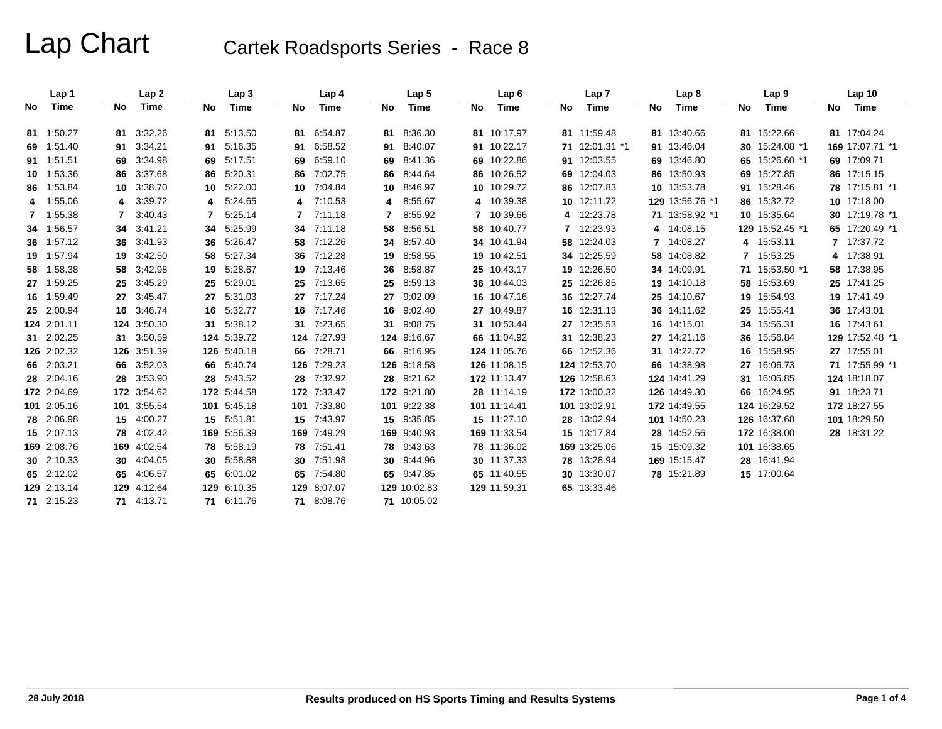# Lap Chart Cartek Roadsports Series - Race 8

|    | Lap 1       |                 | Lap2        |     | Lap <sub>3</sub> |     | Lap 4       |                 | Lap <sub>5</sub> |    | Lap6         |    | Lap 7          |    | Lap <sub>8</sub> |    | Lap <sub>9</sub> |    | Lap <sub>10</sub> |
|----|-------------|-----------------|-------------|-----|------------------|-----|-------------|-----------------|------------------|----|--------------|----|----------------|----|------------------|----|------------------|----|-------------------|
| No | Time        | No              | Time        | No  | Time             | No  | Time        | No              | Time             | No | Time         | No | Time           | No | Time             | No | Time             | No | Time              |
|    | 81 1:50.27  |                 | 81 3:32.26  |     | 81 5:13.50       | 81  | 6:54.87     |                 | 81 8:36.30       |    | 81 10:17.97  |    | 81 11:59.48    |    | 81 13:40.66      |    | 81 15:22.66      |    | 81 17:04.24       |
|    | 69 1:51.40  |                 | 91 3:34.21  | 91  | 5:16.35          | 91  | 6:58.52     | 91              | 8:40.07          |    | 91 10:22.17  |    | 71 12:01.31 *1 |    | 91 13:46.04      |    | 30 15:24.08 *1   |    | 169 17:07.71 *1   |
|    | 91 1:51.51  |                 | 69 3:34.98  | 69  | 5:17.51          | 69  | 6:59.10     |                 | 69 8:41.36       |    | 69 10:22.86  |    | 91 12:03.55    |    | 69 13:46.80      |    | 65 15:26.60 *1   |    | 69 17:09.71       |
|    | 10 1:53.36  |                 | 86 3:37.68  | 86  | 5:20.31          | 86  | 7:02.75     | 86              | 8:44.64          |    | 86 10:26.52  |    | 69 12:04.03    |    | 86 13:50.93      |    | 69 15:27.85      |    | 86 17:15.15       |
|    | 86 1:53.84  | 10 <sup>1</sup> | 3:38.70     | 10. | 5:22.00          | 10  | 7:04.84     | 10 <sup>1</sup> | 8:46.97          |    | 10 10:29.72  |    | 86 12:07.83    |    | 10 13:53.78      |    | 91 15:28.46      |    | 78 17:15.81 *1    |
|    | 4 1:55.06   |                 | 3:39.72     | 4   | 5:24.65          | 4   | 7:10.53     | 4               | 8:55.67          |    | 4 10:39.38   |    | 10 12:11.72    |    | 129 13:56.76 *1  |    | 86 15:32.72      |    | 10 17:18.00       |
| 7  | 1:55.38     | 7               | 3:40.43     |     | 5.25.14          | 7   | 7:11.18     | 7               | 8:55.92          |    | 7 10:39.66   |    | 4 12:23.78     |    | 71 13:58.92 *1   |    | 10 15:35.64      |    | 30 17:19.78 *1    |
|    | 34 1:56.57  |                 | 34 3:41.21  | 34  | 5:25.99          | 34  | 7:11.18     | 58              | 8:56.51          |    | 58 10:40.77  |    | 7 12:23.93     |    | 4 14:08.15       |    | 129 15:52.45 *1  |    | 65 17:20.49 *1    |
|    | 36 1:57.12  |                 | 36 3:41.93  | 36  | 5:26.47          | 58  | 7:12.26     |                 | 34 8:57.40       |    | 34 10:41.94  |    | 58 12:24.03    |    | 7 14:08.27       |    | 4 15:53.11       |    | 7 17:37.72        |
|    | 19 1:57.94  |                 | 19 3:42.50  | 58  | 5:27.34          | 36  | 7:12.28     | 19              | 8:58.55          |    | 19 10:42.51  |    | 34 12:25.59    |    | 58 14:08.82      | 7  | 15:53.25         |    | 4 17:38.91        |
|    | 58 1:58.38  |                 | 58 3:42.98  | 19  | 5:28.67          | 19  | 7:13.46     | 36              | 8:58.87          |    | 25 10:43.17  |    | 19 12:26.50    |    | 34 14:09.91      |    | 71 15:53.50 *1   |    | 58 17:38.95       |
|    | 27 1:59.25  | 25              | 3:45.29     | 25  | 5:29.01          | 25  | 7:13.65     |                 | 25 8:59.13       |    | 36 10:44.03  |    | 25 12:26.85    |    | 19 14:10.18      |    | 58 15:53.69      |    | 25 17:41.25       |
|    | 16 1:59.49  |                 | 27 3:45.47  | 27  | 5:31.03          | 27  | 7:17.24     | 27              | 9:02.09          |    | 16 10:47.16  |    | 36 12:27.74    |    | 25 14:10.67      |    | 19 15:54.93      |    | 19 17:41.49       |
|    | 25 2:00.94  |                 | 16 3:46.74  |     | 16 5:32.77       | 16  | 7:17.46     | 16              | 9:02.40          |    | 27 10:49.87  |    | 16 12:31.13    |    | 36 14:11.62      |    | 25 15:55.41      |    | 36 17:43.01       |
|    | 124 2:01.11 |                 | 124 3:50.30 | 31  | 5:38.12          | 31  | 7:23.65     | 31              | 9:08.75          |    | 31 10:53.44  |    | 27 12:35.53    |    | 16 14:15.01      |    | 34 15:56.31      |    | 16 17:43.61       |
|    | 31 2:02.25  |                 | 31 3:50.59  |     | 124 5:39.72      |     | 124 7:27.93 |                 | 124 9:16.67      |    | 66 11:04.92  |    | 31 12:38.23    |    | 27 14:21.16      |    | 36 15:56.84      |    | 129 17:52.48 *1   |
|    | 126 2:02.32 |                 | 126 3:51.39 |     | 126 5:40.18      | 66  | 7:28.71     |                 | 66 9:16.95       |    | 124 11:05.76 |    | 66 12:52.36    |    | 31 14:22.72      |    | 16 15:58.95      |    | 27 17:55.01       |
|    | 66 2:03.21  |                 | 66 3:52.03  |     | 66 5:40.74       | 126 | 7:29.23     |                 | 126 9:18.58      |    | 126 11:08.15 |    | 124 12:53.70   |    | 66 14:38.98      |    | 27 16:06.73      |    | 71 17:55.99 *1    |
|    | 28 2:04.16  |                 | 28 3:53.90  |     | 28 5:43.52       | 28  | 7:32.92     |                 | 28 9:21.62       |    | 172 11:13.47 |    | 126 12:58.63   |    | 124 14:41.29     |    | 31 16:06.85      |    | 124 18:18.07      |
|    | 172 2:04.69 |                 | 172 3:54.62 |     | 172 5:44.58      |     | 172 7:33.47 |                 | 172 9:21.80      |    | 28 11:14.19  |    | 172 13:00.32   |    | 126 14:49.30     |    | 66 16:24.95      |    | 91 18:23.71       |
|    | 101 2:05.16 |                 | 101 3:55.54 |     | 101 5:45.18      |     | 101 7:33.80 |                 | 101 9:22.38      |    | 101 11:14.41 |    | 101 13:02.91   |    | 172 14:49.55     |    | 124 16:29.52     |    | 172 18:27.55      |
|    | 78 2:06.98  |                 | 15 4:00.27  | 15  | 5:51.81          | 15  | 7:43.97     |                 | 15 9:35.85       |    | 15 11:27.10  |    | 28 13:02.94    |    | 101 14:50.23     |    | 126 16:37.68     |    | 101 18:29.50      |
|    | 15 2:07.13  |                 | 78 4:02.42  |     | 169 5:56.39      |     | 169 7:49.29 |                 | 169 9:40.93      |    | 169 11:33.54 |    | 15 13:17.84    |    | 28 14:52.56      |    | 172 16:38.00     |    | 28 18:31.22       |
|    | 169 2:08.76 |                 | 169 4:02.54 | 78  | 5:58.19          | 78  | 7:51.41     |                 | 78 9:43.63       |    | 78 11:36.02  |    | 169 13:25.06   |    | 15 15:09.32      |    | 101 16:38.65     |    |                   |
|    | 30 2:10.33  |                 | 30 4:04.05  | 30  | 5:58.88          | 30  | 7:51.98     |                 | 30 9:44.96       |    | 30 11:37.33  |    | 78 13:28.94    |    | 169 15:15.47     |    | 28 16:41.94      |    |                   |
|    | 65 2:12.02  |                 | 65 4:06.57  | 65  | 6:01.02          | 65  | 7:54.80     |                 | 65 9:47.85       |    | 65 11:40.55  |    | 30 13:30.07    |    | 78 15:21.89      |    | 15 17:00.64      |    |                   |
|    | 129 2:13.14 |                 | 129 4:12.64 |     | 129 6:10.35      | 129 | 8:07.07     |                 | 129 10:02.83     |    | 129 11:59.31 |    | 65 13:33.46    |    |                  |    |                  |    |                   |
|    | 71 2:15.23  |                 | 71 4:13.71  |     | 71 6:11.76       |     | 71 8:08.76  |                 | 71 10:05.02      |    |              |    |                |    |                  |    |                  |    |                   |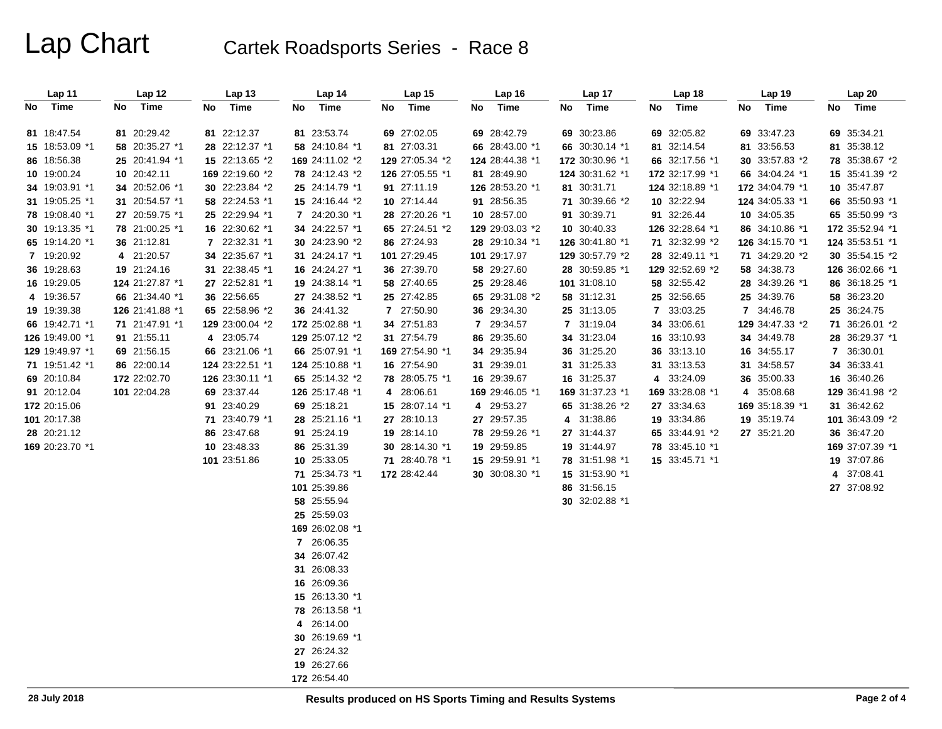# Lap Chart Cartek Roadsports Series - Race 8

| Lap 11          | Lap 12          | Lap <sub>13</sub> | Lap 14          | Lap <sub>15</sub> | Lap 16          | Lap 17          | Lap 18          | Lap 19          | Lap 20          |
|-----------------|-----------------|-------------------|-----------------|-------------------|-----------------|-----------------|-----------------|-----------------|-----------------|
| Time<br>No      | Time<br>No      | Time<br>No        | Time<br>No      | Time<br>No        | Time<br>No      | Time<br>No      | Time<br>No      | Time<br>No      | Time<br>No      |
|                 |                 |                   |                 |                   |                 |                 |                 |                 |                 |
| 81 18:47.54     | 81 20:29.42     | 81 22:12.37       | 81 23:53.74     | 69 27:02.05       | 69 28:42.79     | 69 30:23.86     | 69 32:05.82     | 69 33:47.23     | 69 35:34.21     |
| 15 18:53.09 *1  | 58 20:35.27 *1  | 28 22:12.37 *1    | 58 24:10.84 *1  | 81 27:03.31       | 66 28:43.00 *1  | 66 30:30.14 *1  | 81 32:14.54     | 81 33:56.53     | 81 35:38.12     |
| 86 18:56.38     | 25 20:41.94 *1  | 15 22:13.65 *2    | 169 24:11.02 *2 | 129 27:05.34 *2   | 124 28:44.38 *1 | 172 30:30.96 *1 | 66 32:17.56 *1  | 30 33:57.83 *2  | 78 35:38.67 *2  |
| 10 19:00.24     | 10 20:42.11     | 169 22:19.60 *2   | 78 24:12.43 *2  | 126 27:05.55 *1   | 81 28:49.90     | 124 30:31.62 *1 | 172 32:17.99 *1 | 66 34:04.24 *1  | 15 35:41.39 *2  |
| 34 19:03.91 *1  | 34 20:52.06 *1  | 30 22:23.84 *2    | 25 24:14.79 *1  | 91 27:11.19       | 126 28:53.20 *1 | 81 30:31.71     | 124 32:18.89 *1 | 172 34:04.79 *1 | 10 35:47.87     |
| 31 19:05.25 *1  | 31 20:54.57 *1  | 58 22:24.53 *1    | 15 24:16.44 *2  | 10 27:14.44       | 91 28:56.35     | 71 30:39.66 *2  | 10 32:22.94     | 124 34:05.33 *1 | 66 35:50.93 *1  |
| 78 19:08.40 *1  | 27 20:59.75 *1  | 25 22:29.94 *1    | 7 24:20.30 *1   | 28 27:20.26 *1    | 10 28:57.00     | 91 30:39.71     | 91 32:26.44     | 10 34:05.35     | 65 35:50.99 *3  |
| 30 19:13.35 *1  | 78 21:00.25 *1  | 16 22:30.62 *1    | 34 24:22.57 *1  | 65 27:24.51 *2    | 129 29:03.03 *2 | 10 30:40.33     | 126 32:28.64 *1 | 86 34:10.86 *1  | 172 35:52.94 *1 |
| 65 19:14.20 *1  | 36 21:12.81     | 7 22:32.31 *1     | 30 24:23.90 *2  | 86 27:24.93       | 28 29:10.34 *1  | 126 30:41.80 *1 | 71 32:32.99 *2  | 126 34:15.70 *1 | 124 35:53.51 *1 |
| 7 19:20.92      | 4 21:20.57      | 34 22:35.67 *1    | 31 24:24.17 *1  | 101 27:29.45      | 101 29:17.97    | 129 30:57.79 *2 | 28 32:49.11 *1  | 71 34:29.20 *2  | 30 35:54.15 *2  |
| 36 19:28.63     | 19 21:24.16     | 31 22:38.45 *1    | 16 24:24.27 *1  | 36 27:39.70       | 58 29:27.60     | 28 30:59.85 *1  | 129 32:52.69 *2 | 58 34:38.73     | 126 36:02.66 *1 |
| 16 19:29.05     | 124 21:27.87 *1 | 27 22:52.81 *1    | 19 24:38.14 *1  | 58 27:40.65       | 25 29:28.46     | 101 31:08.10    | 58 32:55.42     | 28 34:39.26 *1  | 86 36:18.25 *1  |
| 4 19:36.57      | 66 21:34.40 *1  | 36 22:56.65       | 27 24:38.52 *1  | 25 27:42.85       | 65 29:31.08 *2  | 58 31:12.31     | 25 32:56.65     | 25 34:39.76     | 58 36:23.20     |
| 19 19:39.38     | 126 21:41.88 *1 | 65 22:58.96 *2    | 36 24:41.32     | 7 27:50.90        | 36 29:34.30     | 25 31:13.05     | 7 33:03.25      | 7 34:46.78      | 25 36:24.75     |
| 66 19:42.71 *1  | 71 21:47.91 *1  | 129 23:00.04 *2   | 172 25:02.88 *1 | 34 27:51.83       | 7 29:34.57      | 7 31:19.04      | 34 33:06.61     | 129 34:47.33 *2 | 71 36:26.01 *2  |
| 126 19:49.00 *1 | 91 21:55.11     | 4 23:05.74        | 129 25:07.12 *2 | 31 27:54.79       | 86 29:35.60     | 34 31:23.04     | 16 33:10.93     | 34 34:49.78     | 28 36:29.37 *1  |
| 129 19:49.97 *1 | 69 21:56.15     | 66 23:21.06 *1    | 66 25:07.91 *1  | 169 27:54.90 *1   | 34 29:35.94     | 36 31:25.20     | 36 33:13.10     | 16 34:55.17     | 7 36:30.01      |
| 71 19:51.42 *1  | 86 22:00.14     | 124 23:22.51 *1   | 124 25:10.88 *1 | 16 27:54.90       | 31 29:39.01     | 31 31:25.33     | 31 33:13.53     | 31 34:58.57     | 34 36:33.41     |
| 69 20:10.84     | 172 22:02.70    | 126 23:30.11 *1   | 65 25:14.32 *2  | 78 28:05.75 *1    | 16 29:39.67     | 16 31:25.37     | 4 33:24.09      | 36 35:00.33     | 16 36:40.26     |
| 91 20:12.04     | 101 22:04.28    | 69 23:37.44       | 126 25:17.48 *1 | 4 28:06.61        | 169 29:46.05 *1 | 169 31:37.23 *1 | 169 33:28.08 *1 | 4 35:08.68      | 129 36:41.98 *2 |
| 172 20:15.06    |                 | 91 23:40.29       | 69 25:18.21     | 15 28:07.14 *1    | 4 29:53.27      | 65 31:38.26 *2  | 27 33:34.63     | 169 35:18.39 *1 | 31 36:42.62     |
| 101 20:17.38    |                 | 71 23:40.79 *1    | 28 25:21.16 *1  | 27 28:10.13       | 27 29:57.35     | 4 31:38.86      | 19 33:34.86     | 19 35:19.74     | 101 36:43.09 *2 |
| 28 20:21.12     |                 | 86 23:47.68       | 91 25:24.19     | 19 28:14.10       | 78 29:59.26 *1  | 27 31:44.37     | 65 33:44.91 *2  | 27 35:21.20     | 36 36:47.20     |
| 169 20:23.70 *1 |                 | 10 23:48.33       | 86 25:31.39     | 30 28:14.30 *1    | 19 29:59.85     | 19 31:44.97     | 78 33:45.10 *1  |                 | 169 37:07.39 *1 |
|                 |                 | 101 23:51.86      | 10 25:33.05     | 71 28:40.78 *1    | 15 29:59.91 *1  | 78 31:51.98 *1  | 15 33:45.71 *1  |                 | 19 37:07.86     |
|                 |                 |                   | 71 25:34.73 *1  | 172 28:42.44      | 30 30:08.30 *1  | 15 31:53.90 *1  |                 |                 | 4 37:08.41      |
|                 |                 |                   | 101 25:39.86    |                   |                 | 86 31:56.15     |                 |                 | 27 37:08.92     |
|                 |                 |                   | 58 25:55.94     |                   |                 | 30 32:02.88 *1  |                 |                 |                 |
|                 |                 |                   | 25 25:59.03     |                   |                 |                 |                 |                 |                 |
|                 |                 |                   | 169 26:02.08 *1 |                   |                 |                 |                 |                 |                 |
|                 |                 |                   | 7 26:06.35      |                   |                 |                 |                 |                 |                 |
|                 |                 |                   | 34 26:07.42     |                   |                 |                 |                 |                 |                 |
|                 |                 |                   | 31 26:08.33     |                   |                 |                 |                 |                 |                 |
|                 |                 |                   | 16 26:09.36     |                   |                 |                 |                 |                 |                 |
|                 |                 |                   | 15 26:13.30 *1  |                   |                 |                 |                 |                 |                 |
|                 |                 |                   | 78 26:13.58 *1  |                   |                 |                 |                 |                 |                 |
|                 |                 |                   | 4 26:14.00      |                   |                 |                 |                 |                 |                 |
|                 |                 |                   | 30 26:19.69 *1  |                   |                 |                 |                 |                 |                 |
|                 |                 |                   | 27 26:24.32     |                   |                 |                 |                 |                 |                 |
|                 |                 |                   | 19 26:27.66     |                   |                 |                 |                 |                 |                 |
|                 |                 |                   | 172 26:54.40    |                   |                 |                 |                 |                 |                 |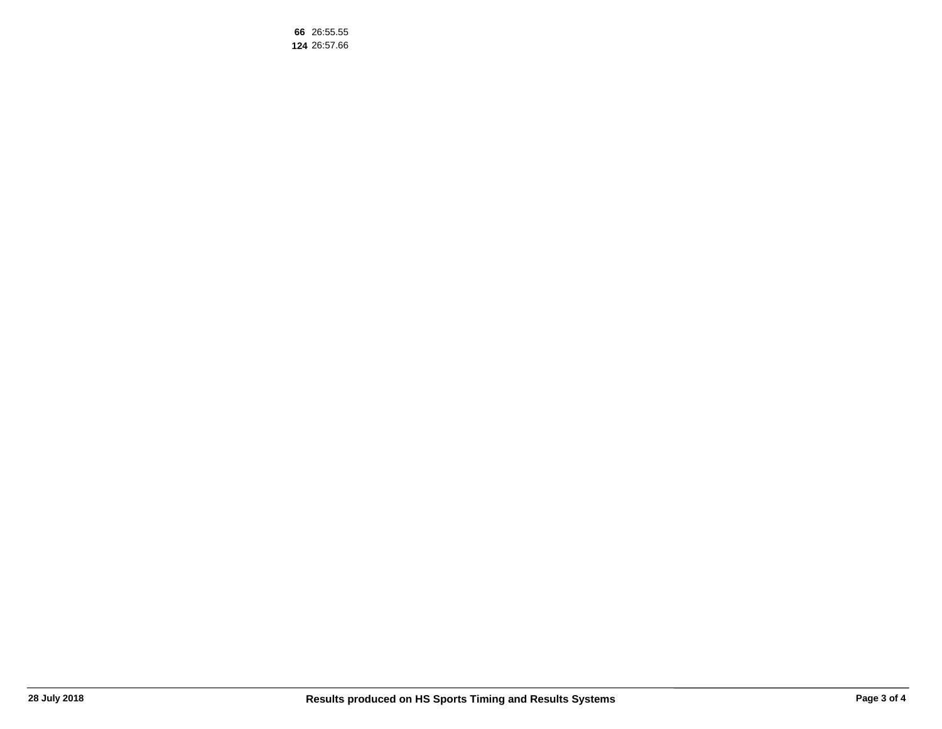26:55.55 26:57.66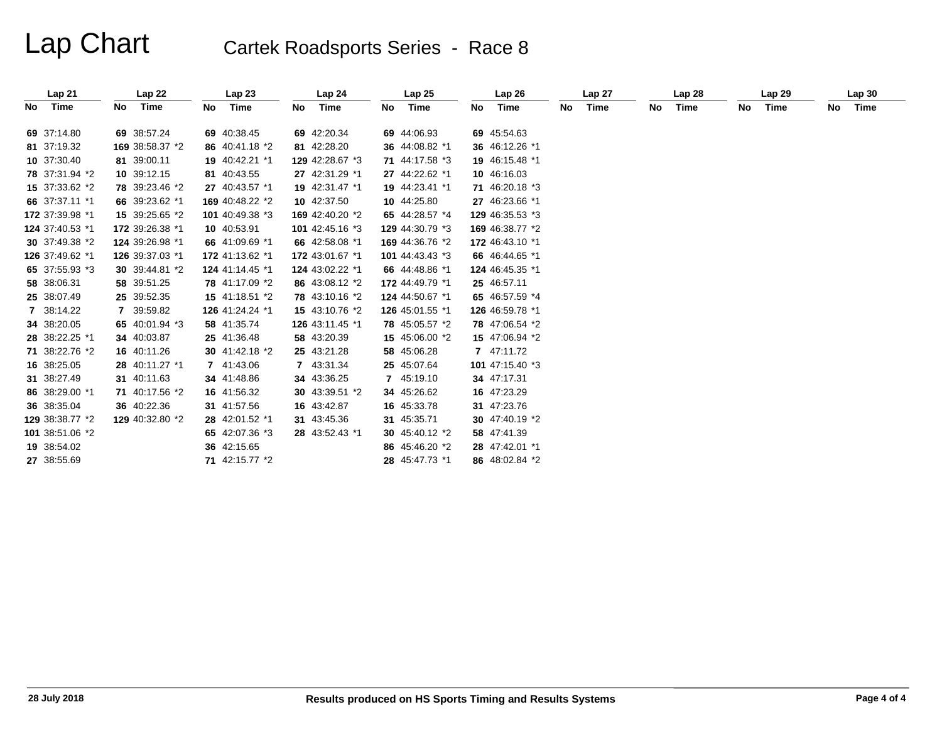# Lap Chart Cartek Roadsports Series - Race 8

|    | Lap21           |    | Lap22           |    | Lap23           |    | Lap24           |    | Lap25           |    | Lap <sub>26</sub> |    | Lap 27 |    | Lap <sub>28</sub> |    | Lap29 |    | Lap30 |
|----|-----------------|----|-----------------|----|-----------------|----|-----------------|----|-----------------|----|-------------------|----|--------|----|-------------------|----|-------|----|-------|
| No | Time            | No | Time            | No | Time            | No | Time            | No | Time            | No | Time              | No | Time   | No | Time              | No | Time  | No | Time  |
|    |                 |    |                 |    |                 |    |                 |    |                 |    |                   |    |        |    |                   |    |       |    |       |
|    | 69 37:14.80     |    | 69 38:57.24     |    | 69 40:38.45     |    | 69 42:20.34     |    | 69 44:06.93     |    | 69 45:54.63       |    |        |    |                   |    |       |    |       |
|    | 81 37:19.32     |    | 169 38:58.37 *2 |    | 86 40:41.18 *2  |    | 81 42:28.20     |    | 36 44:08.82 *1  |    | 36 46:12.26 *1    |    |        |    |                   |    |       |    |       |
|    | 10 37:30.40     |    | 81 39:00.11     |    | 19 40:42.21 *1  |    | 129 42:28.67 *3 |    | 71 44:17.58 *3  |    | 19 46:15.48 *1    |    |        |    |                   |    |       |    |       |
|    | 78 37:31.94 *2  |    | 10 39:12.15     |    | 81 40:43.55     |    | 27 42:31.29 *1  |    | 27 44:22.62 *1  |    | 10 46:16.03       |    |        |    |                   |    |       |    |       |
|    | 15 37:33.62 *2  |    | 78 39:23.46 *2  |    | 27 40:43.57 *1  |    | 19 42:31.47 *1  |    | 19 44:23.41 *1  |    | 71 46:20.18 *3    |    |        |    |                   |    |       |    |       |
|    | 66 37:37.11 *1  |    | 66 39:23.62 *1  |    | 169 40:48.22 *2 |    | 10 42:37.50     |    | 10 44:25.80     |    | 27 46:23.66 *1    |    |        |    |                   |    |       |    |       |
|    | 172 37:39.98 *1 |    | 15 39:25.65 *2  |    | 101 40:49.38 *3 |    | 169 42:40.20 *2 |    | 65 44:28.57 *4  |    | 129 46:35.53 *3   |    |        |    |                   |    |       |    |       |
|    | 124 37:40.53 *1 |    | 172 39:26.38 *1 |    | 10 40:53.91     |    | 101 42:45.16 *3 |    | 129 44:30.79 *3 |    | 169 46:38.77 *2   |    |        |    |                   |    |       |    |       |
|    | 30 37:49.38 *2  |    | 124 39:26.98 *1 |    | 66 41:09.69 *1  |    | 66 42:58.08 *1  |    | 169 44:36.76 *2 |    | 172 46:43.10 *1   |    |        |    |                   |    |       |    |       |
|    | 126 37:49.62 *1 |    | 126 39:37.03 *1 |    | 172 41:13.62 *1 |    | 172 43:01.67 *1 |    | 101 44:43.43 *3 |    | 66 46:44.65 *1    |    |        |    |                   |    |       |    |       |
|    | 65 37:55.93 *3  |    | 30 39:44.81 *2  |    | 124 41:14.45 *1 |    | 124 43:02.22 *1 |    | 66 44:48.86 *1  |    | 124 46:45.35 *1   |    |        |    |                   |    |       |    |       |
|    | 58 38:06.31     |    | 58 39:51.25     |    | 78 41:17.09 *2  |    | 86 43:08.12 *2  |    | 172 44:49.79 *1 |    | 25 46:57.11       |    |        |    |                   |    |       |    |       |
|    | 25 38:07.49     |    | 25 39:52.35     |    | 15 41:18.51 *2  |    | 78 43:10.16 *2  |    | 124 44:50.67 *1 |    | 65 46:57.59 *4    |    |        |    |                   |    |       |    |       |
|    | 7 38:14.22      |    | 7 39:59.82      |    | 126 41:24.24 *1 |    | 15 43:10.76 *2  |    | 126 45:01.55 *1 |    | 126 46:59.78 *1   |    |        |    |                   |    |       |    |       |
|    | 34 38:20.05     |    | 65 40:01.94 *3  |    | 58 41:35.74     |    | 126 43:11.45 *1 |    | 78 45:05.57 *2  |    | 78 47:06.54 *2    |    |        |    |                   |    |       |    |       |
|    | 28 38:22.25 *1  |    | 34 40:03.87     |    | 25 41:36.48     |    | 58 43:20.39     |    | 15 45:06.00 *2  |    | 15 47:06.94 *2    |    |        |    |                   |    |       |    |       |
|    | 71 38:22.76 *2  |    | 16 40:11.26     |    | 30 $41:42.18*2$ |    | 25 43:21.28     |    | 58 45:06.28     |    | 7 47:11.72        |    |        |    |                   |    |       |    |       |
|    | 16 38:25.05     |    | 28 40:11.27 *1  |    | 7 41:43.06      |    | 7 43:31.34      |    | 25 45:07.64     |    | 101 47:15.40 *3   |    |        |    |                   |    |       |    |       |
|    | 31 38:27.49     |    | 31 40:11.63     |    | 34 41:48.86     |    | 34 43:36.25     |    | 7 45:19.10      |    | 34 47:17.31       |    |        |    |                   |    |       |    |       |
|    | 86 38:29.00 *1  |    | 71 40:17.56 *2  |    | 16 41:56.32     |    | 30 43:39.51 *2  |    | 34 45:26.62     |    | 16 47:23.29       |    |        |    |                   |    |       |    |       |
|    | 36 38:35.04     |    | 36 40:22.36     |    | 31 41:57.56     |    | 16 43:42.87     |    | 16 45:33.78     |    | 31 47:23.76       |    |        |    |                   |    |       |    |       |
|    | 129 38:38.77 *2 |    | 129 40:32.80 *2 |    | 28 42:01.52 *1  |    | 31 43:45.36     |    | 31 45:35.71     |    | 30 47:40.19 *2    |    |        |    |                   |    |       |    |       |
|    | 101 38:51.06 *2 |    |                 |    | 65 42:07.36 *3  |    | 28 43:52.43 *1  |    | 30 45:40.12 *2  |    | 58 47:41.39       |    |        |    |                   |    |       |    |       |
|    | 19 38:54.02     |    |                 |    | 36 42:15.65     |    |                 |    | 86 45:46.20 *2  |    | 28 47:42.01 *1    |    |        |    |                   |    |       |    |       |
|    | 27 38:55.69     |    |                 |    | 71 42:15.77 *2  |    |                 |    | 28 45:47.73 *1  |    | 86 48:02.84 *2    |    |        |    |                   |    |       |    |       |
|    |                 |    |                 |    |                 |    |                 |    |                 |    |                   |    |        |    |                   |    |       |    |       |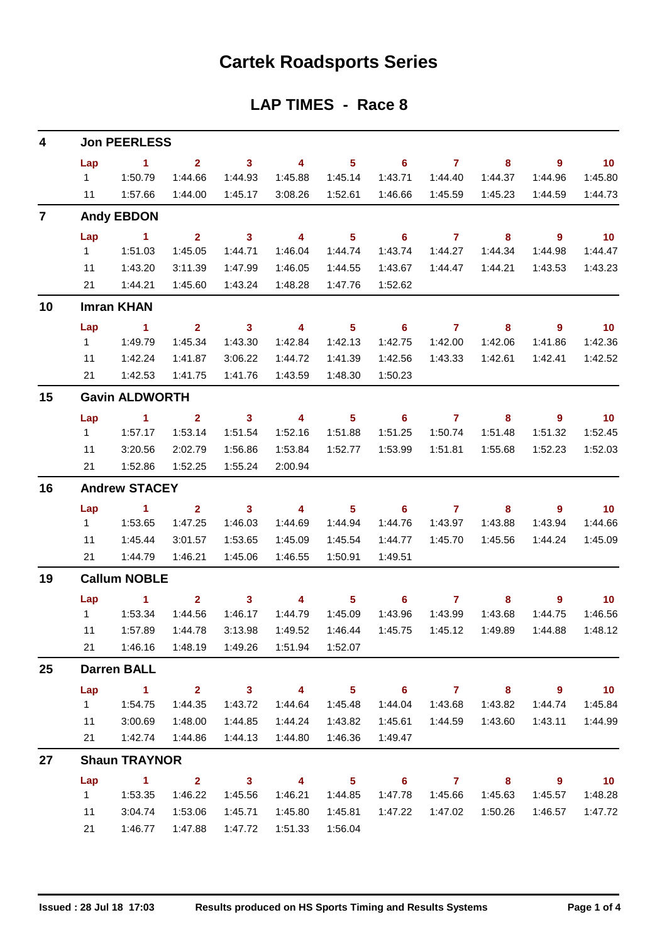## **Cartek Roadsports Series**

### **LAP TIMES - Race 8**

| 4              | <b>Jon PEERLESS</b> |                                                      |                         |                         |                          |                            |                            |                |                            |                          |                             |  |  |  |
|----------------|---------------------|------------------------------------------------------|-------------------------|-------------------------|--------------------------|----------------------------|----------------------------|----------------|----------------------------|--------------------------|-----------------------------|--|--|--|
|                | Lap                 | $\sim$ 1                                             | 2 <sup>1</sup>          | $\overline{\mathbf{3}}$ | $\overline{4}$           | $\overline{\phantom{0}}$ 5 | $\overline{\phantom{a}}$ 6 | $\overline{7}$ | 8                          | $\overline{\phantom{a}}$ | $\blacksquare$ 10           |  |  |  |
|                | $1 \quad$           | 1:50.79                                              | 1:44.66                 | 1:44.93                 | 1:45.88                  | 1:45.14                    | 1:43.71                    | 1:44.40        | 1:44.37                    | 1:44.96                  | 1:45.80                     |  |  |  |
|                | 11                  | 1:57.66                                              | 1:44.00                 | 1:45.17                 | 3:08.26                  | 1:52.61                    | 1:46.66                    | 1:45.59        | 1:45.23                    | 1:44.59                  | 1:44.73                     |  |  |  |
| $\overline{7}$ |                     | <b>Andy EBDON</b>                                    |                         |                         |                          |                            |                            |                |                            |                          |                             |  |  |  |
|                | Lap                 | $\sim$ 1                                             | $2^{\circ}$             | $\overline{\mathbf{3}}$ | $\overline{4}$           | $\overline{\phantom{0}}$ 5 | $\overline{\phantom{0}}$ 6 | $\overline{7}$ | $\bf{8}$                   | $\overline{\phantom{a}}$ | $\overline{\mathbf{10}}$    |  |  |  |
|                | $1 \quad$           | 1:51.03                                              | 1:45.05                 | 1:44.71                 | 1:46.04                  | 1:44.74                    | 1:43.74                    | 1:44.27        | 1:44.34                    | 1:44.98                  | 1:44.47                     |  |  |  |
|                | 11                  | 1:43.20                                              | 3:11.39                 | 1:47.99                 | 1:46.05                  | 1:44.55                    | 1:43.67                    | 1:44.47        | 1:44.21                    | 1:43.53                  | 1:43.23                     |  |  |  |
|                | 21                  | 1:44.21                                              | 1:45.60                 | 1:43.24                 | 1:48.28                  | 1:47.76                    | 1:52.62                    |                |                            |                          |                             |  |  |  |
| 10             |                     | <b>Imran KHAN</b>                                    |                         |                         |                          |                            |                            |                |                            |                          |                             |  |  |  |
|                | Lap                 | $\sim$ 1                                             | $\overline{2}$          | $\overline{\mathbf{3}}$ | $\overline{\phantom{0}}$ | $\overline{\phantom{0}}$ 5 | $\overline{\phantom{0}}$ 6 | $\overline{7}$ | $\bf{8}$                   | $\overline{9}$           | 10                          |  |  |  |
|                | $1 \quad$           | 1:49.79                                              | 1:45.34                 | 1:43.30                 | 1:42.84                  | 1:42.13                    | 1:42.75                    | 1:42.00        | 1:42.06                    | 1:41.86                  | 1:42.36                     |  |  |  |
|                | 11                  | 1:42.24                                              | 1:41.87                 | 3:06.22                 | 1:44.72                  | 1:41.39                    | 1:42.56                    | 1:43.33        | 1:42.61                    | 1:42.41                  | 1:42.52                     |  |  |  |
|                | 21                  | 1:42.53                                              | 1:41.75                 | 1:41.76                 | 1:43.59                  | 1:48.30                    | 1:50.23                    |                |                            |                          |                             |  |  |  |
| 15             |                     | <b>Gavin ALDWORTH</b>                                |                         |                         |                          |                            |                            |                |                            |                          |                             |  |  |  |
|                | Lap                 | $\sim$ 1                                             | $\overline{\mathbf{2}}$ | $\overline{\mathbf{3}}$ | $\overline{4}$           | $\overline{\phantom{0}}$ 5 | $\overline{\phantom{0}}$ 6 | $\overline{7}$ | 8                          | $\overline{\phantom{a}}$ | $\overline{\phantom{0}}$ 10 |  |  |  |
|                | $1 \quad$           | 1:57.17                                              | 1:53.14                 | 1:51.54                 | 1:52.16                  | 1:51.88                    | 1:51.25                    | 1:50.74        | 1:51.48                    | 1:51.32                  | 1:52.45                     |  |  |  |
|                | 11                  | 3:20.56                                              | 2:02.79                 | 1:56.86                 | 1:53.84                  | 1:52.77                    | 1:53.99                    | 1:51.81        | 1:55.68                    | 1:52.23                  | 1:52.03                     |  |  |  |
|                | 21                  | 1:52.86                                              | 1:52.25                 | 1:55.24                 | 2:00.94                  |                            |                            |                |                            |                          |                             |  |  |  |
| 16             |                     | <b>Andrew STACEY</b>                                 |                         |                         |                          |                            |                            |                |                            |                          |                             |  |  |  |
|                | Lap                 | $\overline{1}$ $\overline{2}$                        |                         | $\overline{\mathbf{3}}$ | $\overline{\mathbf{4}}$  | $\overline{\phantom{1}}$ 5 | $\overline{\phantom{0}}$ 6 | $\overline{7}$ | $\overline{\phantom{a}}$ 8 | - 9                      | $\blacksquare$ 10           |  |  |  |
|                | $1 \quad$           | 1:53.65                                              | 1:47.25                 | 1:46.03                 | 1:44.69                  | 1:44.94                    | 1:44.76                    | 1:43.97        | 1:43.88                    | 1:43.94                  | 1:44.66                     |  |  |  |
|                | 11                  | 1:45.44                                              | 3:01.57                 | 1:53.65                 | 1:45.09                  | 1:45.54                    | 1:44.77                    | 1:45.70        | 1:45.56                    | 1:44.24                  | 1:45.09                     |  |  |  |
|                | 21                  | 1:44.79                                              | 1:46.21                 | 1:45.06                 | 1:46.55                  | 1:50.91                    | 1:49.51                    |                |                            |                          |                             |  |  |  |
| 19             |                     | <b>Callum NOBLE</b>                                  |                         |                         |                          |                            |                            |                |                            |                          |                             |  |  |  |
|                | Lap                 | $\sim$ 1                                             | $2^{\circ}$             | 3 <sup>7</sup>          | $\overline{4}$           | 5 <sub>1</sub>             | $\overline{\phantom{0}}$ 6 | $\overline{7}$ | 8                          | $\overline{9}$           | $\overline{10}$             |  |  |  |
|                |                     |                                                      | 1:44.56                 | 1:46.17                 | 1:44.79                  | 1:45.09                    | 1:43.96                    | 1:43.99        | 1:43.68                    | 1:44.75                  | 1:46.56                     |  |  |  |
|                | 11                  | 1:57.89                                              | 1:44.78                 | 3:13.98                 | 1:49.52                  | 1:46.44                    | 1:45.75                    | 1:45.12        | 1:49.89                    | 1:44.88                  | 1:48.12                     |  |  |  |
|                |                     | 21   1:46.16   1:48.19   1:49.26   1:51.94   1:52.07 |                         |                         |                          |                            |                            |                |                            |                          |                             |  |  |  |
| 25             |                     | <b>Darren BALL</b>                                   |                         |                         |                          |                            |                            |                |                            |                          |                             |  |  |  |
|                | Lap                 | $\sim$ 1.                                            |                         |                         | $2 \t 3 \t 4$            | $\overline{\phantom{1}}$ 5 |                            |                | 6 7 8 9                    |                          | $\overline{10}$             |  |  |  |
|                |                     |                                                      | 1:44.35                 | 1:43.72                 | 1:44.64                  | 1:45.48                    | 1:44.04                    | 1:43.68        | 1:43.82                    | 1:44.74                  | 1:45.84                     |  |  |  |
|                | 11                  | 3:00.69                                              | 1:48.00                 | 1:44.85                 | 1:44.24                  | 1:43.82                    | 1:45.61                    | 1:44.59        | 1:43.60                    | 1:43.11                  | 1:44.99                     |  |  |  |
|                | 21                  | 1:42.74                                              | 1:44.86                 |                         |                          | 1:46.36                    | 1:49.47                    |                |                            |                          |                             |  |  |  |
| 27             |                     | <b>Shaun TRAYNOR</b>                                 |                         |                         |                          |                            |                            |                |                            |                          |                             |  |  |  |
|                | Lap                 |                                                      | $1 \t 2 \t 3$           |                         | $\overline{\mathbf{4}}$  | $\overline{\phantom{1}}$ 5 |                            |                | 6 7 8 9                    |                          | $\overline{\phantom{0}}$ 10 |  |  |  |
|                |                     |                                                      |                         | 1:45.56                 |                          |                            |                            |                | 1:47.78  1:45.66  1:45.63  | 1:45.57                  | 1:48.28                     |  |  |  |
|                | 11                  | 3:04.74                                              | 1:53.06                 | 1:45.71                 | 1:45.80                  | 1:45.81                    | 1:47.22                    | 1:47.02        | 1:50.26                    | 1:46.57                  | 1:47.72                     |  |  |  |
|                | 21                  | 1:46.77                                              | 1:47.88                 | 1:47.72                 | 1:51.33                  | 1:56.04                    |                            |                |                            |                          |                             |  |  |  |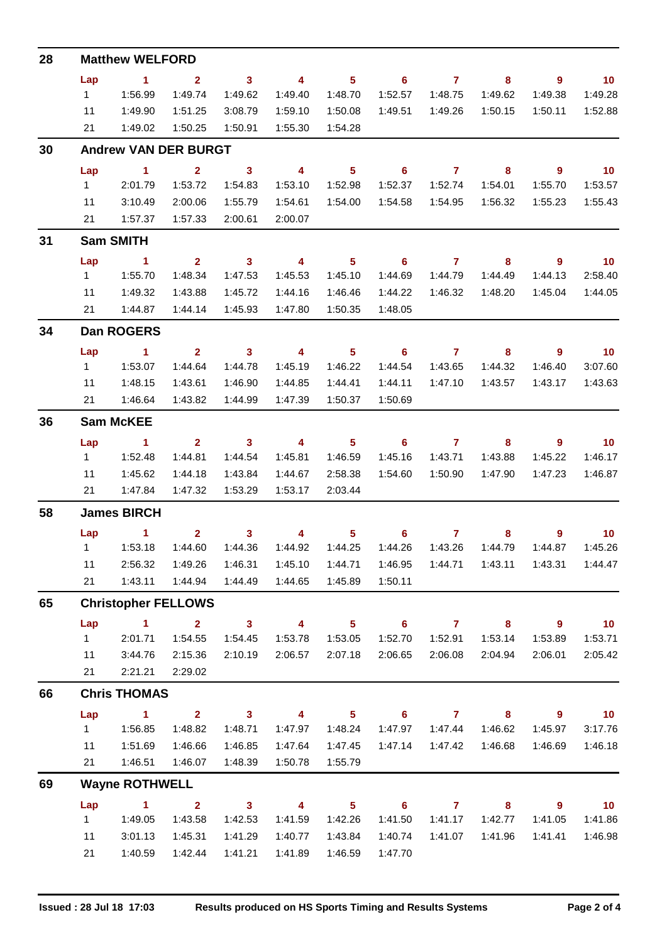| 28 | <b>Matthew WELFORD</b> |                                                |                         |                         |                         |                            |                            |                     |                            |                            |                             |  |  |  |  |
|----|------------------------|------------------------------------------------|-------------------------|-------------------------|-------------------------|----------------------------|----------------------------|---------------------|----------------------------|----------------------------|-----------------------------|--|--|--|--|
|    | Lap                    | $\sim$ 1                                       | $\sim$ 2                | $\overline{\mathbf{3}}$ | $\overline{\mathbf{4}}$ | $\overline{\phantom{1}}$ 5 |                            | $6$ $7$ $8$         |                            | - 9                        | $\overline{10}$             |  |  |  |  |
|    | $1 \quad$              | 1:56.99                                        | 1:49.74                 | 1:49.62                 | 1:49.40                 | 1:48.70                    | 1:52.57                    | 1:48.75             | 1:49.62                    | 1:49.38                    | 1:49.28                     |  |  |  |  |
|    | 11                     | 1:49.90                                        | 1:51.25                 | 3:08.79                 | 1:59.10                 | 1:50.08                    | 1:49.51                    | 1:49.26             | 1:50.15                    | 1:50.11                    | 1:52.88                     |  |  |  |  |
|    | 21                     | 1:49.02                                        | 1:50.25                 | 1:50.91                 | 1:55.30                 | 1:54.28                    |                            |                     |                            |                            |                             |  |  |  |  |
| 30 |                        | <b>Andrew VAN DER BURGT</b>                    |                         |                         |                         |                            |                            |                     |                            |                            |                             |  |  |  |  |
|    | Lap                    | $\overline{1}$ $\overline{2}$                  |                         | $\sim$ 3                | $\overline{4}$          | $\overline{\phantom{0}}$ 5 |                            | $6 \qquad \qquad 7$ | $\overline{\mathbf{8}}$    | $\overline{\phantom{a}}$   | $\blacksquare$ 10           |  |  |  |  |
|    | $1 \quad$              | 2:01.79                                        | 1:53.72                 | 1:54.83                 | 1:53.10                 | 1:52.98                    | 1:52.37                    | 1:52.74             | 1:54.01                    | 1:55.70                    | 1:53.57                     |  |  |  |  |
|    | 11                     | 3:10.49                                        | 2:00.06                 | 1:55.79                 | 1:54.61                 | 1:54.00                    | 1:54.58                    |                     | 1:54.95  1:56.32           | 1:55.23                    | 1:55.43                     |  |  |  |  |
|    | 21                     | 1:57.37                                        | 1:57.33                 | 2:00.61                 | 2:00.07                 |                            |                            |                     |                            |                            |                             |  |  |  |  |
| 31 |                        | <b>Sam SMITH</b>                               |                         |                         |                         |                            |                            |                     |                            |                            |                             |  |  |  |  |
|    | Lap                    | $\sim$ 1                                       | $\overline{\mathbf{2}}$ | $\overline{\mathbf{3}}$ | $\overline{4}$          | $\overline{\phantom{0}}$ 5 | $\overline{\phantom{a}}$ 6 | $\overline{7}$      | $\overline{\phantom{a}}$ 8 | $\overline{\phantom{a}}$   | $\overline{\mathbf{10}}$    |  |  |  |  |
|    |                        |                                                | 1:48.34                 | 1:47.53                 | 1:45.53                 | 1:45.10                    | 1:44.69                    | 1:44.79             | 1:44.49                    | 1:44.13                    | 2:58.40                     |  |  |  |  |
|    | 11                     | 1:49.32                                        | 1:43.88                 | 1:45.72                 | 1:44.16                 | 1:46.46                    | 1:44.22                    |                     |                            | 1:45.04                    | 1:44.05                     |  |  |  |  |
|    | 21                     | 1:44.87                                        | 1:44.14                 | 1:45.93                 | 1:47.80                 | 1:50.35                    | 1:48.05                    |                     |                            |                            |                             |  |  |  |  |
| 34 |                        | <b>Dan ROGERS</b>                              |                         |                         |                         |                            |                            |                     |                            |                            |                             |  |  |  |  |
|    | Lap                    | $\sim$ $\sim$ $\sim$ 1.100                     | $\overline{\mathbf{2}}$ | $\overline{\mathbf{3}}$ | $\overline{\mathbf{4}}$ | $\overline{\phantom{0}}$ 5 |                            | $6 \qquad \qquad 7$ | $\sim$ 8                   | $\overline{\phantom{a}}$   | $\overline{\phantom{0}}$ 10 |  |  |  |  |
|    | $1 \quad$              | 1:53.07                                        | 1:44.64                 | 1:44.78                 | 1:45.19                 | 1:46.22                    | 1:44.54                    | 1:43.65             | 1:44.32                    | 1:46.40                    | 3:07.60                     |  |  |  |  |
|    | 11                     | 1:48.15                                        | 1:43.61                 | 1:46.90                 | 1:44.85                 | 1:44.41                    | 1:44.11                    | 1:47.10             | 1:43.57                    | 1:43.17                    | 1:43.63                     |  |  |  |  |
|    |                        | 21  1:46.64                                    | 1:43.82                 | 1:44.99                 | 1:47.39                 | 1:50.37                    | 1:50.69                    |                     |                            |                            |                             |  |  |  |  |
| 36 |                        | <b>Sam McKEE</b>                               |                         |                         |                         |                            |                            |                     |                            |                            |                             |  |  |  |  |
|    | Lap                    | $\sim$ 1                                       | $\overline{\mathbf{2}}$ |                         | $3 \t 4$                | $\overline{\phantom{0}}$ 5 |                            | $6$ $7$ $8$         |                            | $\overline{\phantom{a}}$ 9 | $\overline{\mathbf{10}}$    |  |  |  |  |
|    | $1 \quad$              | 1:52.48                                        | 1:44.81                 | 1:44.54                 | 1:45.81                 | 1:46.59                    | 1:45.16                    | 1:43.71             | 1:43.88                    | 1:45.22                    | 1:46.17                     |  |  |  |  |
|    | 11                     | 1:45.62                                        | 1:44.18                 | 1:43.84                 | 1:44.67                 | 2:58.38                    | 1:54.60                    | 1:50.90             | 1:47.90                    | 1:47.23                    | 1:46.87                     |  |  |  |  |
|    |                        | 21   1:47.84                                   | 1:47.32                 | 1:53.29                 | 1:53.17                 | 2:03.44                    |                            |                     |                            |                            |                             |  |  |  |  |
| 58 |                        | <b>James BIRCH</b><br>Lap 1 2 3 4 5 6 7 8 9 10 |                         |                         |                         |                            |                            |                     |                            |                            |                             |  |  |  |  |
|    |                        |                                                |                         |                         |                         |                            |                            |                     |                            |                            |                             |  |  |  |  |
|    |                        |                                                |                         | 1:44.36                 | 1:44.92                 | 1:44.25                    | 1:44.26                    | 1:43.26             | 1:44.79                    | 1:44.87                    | 1:45.26                     |  |  |  |  |
|    | 11                     | 2:56.32                                        | 1:49.26                 | 1:46.31                 | 1:45.10                 | 1:44.71                    | 1:46.95                    | 1:44.71             | 1:43.11                    | 1:43.31                    | 1:44.47                     |  |  |  |  |
|    | 21                     | 1:43.11                                        | 1:44.94                 | 1:44.49                 | 1:44.65                 | 1:45.89                    | 1:50.11                    |                     |                            |                            |                             |  |  |  |  |
| 65 |                        | <b>Christopher FELLOWS</b>                     |                         |                         |                         |                            |                            |                     |                            |                            |                             |  |  |  |  |
|    | Lap                    | $\blacktriangleleft$                           | $\overline{2}$          | $\overline{\mathbf{3}}$ | $\overline{4}$          | 5 <sub>5</sub>             | $\overline{\phantom{a}}$ 6 | $\overline{7}$      | 8                          | $\overline{\phantom{a}}$   | 10 <sub>1</sub>             |  |  |  |  |
|    | 1                      | 2:01.71                                        | 1:54.55                 | 1:54.45                 | 1:53.78                 | 1:53.05                    | 1:52.70                    | 1:52.91             | 1:53.14                    | 1:53.89                    | 1:53.71                     |  |  |  |  |
|    | 11                     | 3:44.76                                        | 2:15.36                 | 2:10.19                 | 2:06.57                 | 2:07.18                    | 2:06.65                    | 2:06.08             | 2:04.94                    | 2:06.01                    | 2:05.42                     |  |  |  |  |
|    | 21                     | 2:21.21                                        | 2:29.02                 |                         |                         |                            |                            |                     |                            |                            |                             |  |  |  |  |
| 66 |                        | <b>Chris THOMAS</b>                            |                         |                         |                         |                            |                            |                     |                            |                            |                             |  |  |  |  |
|    | Lap                    | $\sim$ 1                                       | $\overline{\mathbf{2}}$ | $\overline{\mathbf{3}}$ | 4                       | 5 <sup>1</sup>             | $\overline{\phantom{0}}$ 6 | $\overline{7}$      | 8                          | 9                          | 10                          |  |  |  |  |
|    | $1 \quad$              | 1:56.85                                        | 1:48.82                 | 1:48.71                 | 1:47.97                 | 1:48.24                    | 1:47.97                    | 1:47.44             | 1:46.62                    | 1:45.97                    | 3:17.76                     |  |  |  |  |
|    | 11                     | 1:51.69                                        | 1:46.66                 | 1:46.85                 | 1:47.64                 | 1:47.45                    | 1:47.14                    | 1:47.42             | 1:46.68                    | 1:46.69                    | 1:46.18                     |  |  |  |  |
|    | 21                     | 1:46.51                                        | 1:46.07                 | 1:48.39                 | 1:50.78                 | 1:55.79                    |                            |                     |                            |                            |                             |  |  |  |  |
| 69 |                        | <b>Wayne ROTHWELL</b>                          |                         |                         |                         |                            |                            |                     |                            |                            |                             |  |  |  |  |
|    | Lap                    | $\blacktriangleleft$                           | $\mathbf{2}$            | $\overline{\mathbf{3}}$ | 4                       | 5 <sub>5</sub>             | 6                          | $\mathbf{7}$        | 8                          | 9                          | 10 <sub>1</sub>             |  |  |  |  |
|    | 1                      | 1:49.05                                        | 1:43.58                 | 1:42.53                 | 1:41.59                 | 1:42.26                    | 1:41.50                    | 1:41.17             | 1:42.77                    | 1:41.05                    | 1:41.86                     |  |  |  |  |
|    | 11                     | 3:01.13                                        | 1:45.31                 | 1:41.29                 | 1:40.77                 | 1:43.84                    | 1:40.74                    | 1:41.07             | 1:41.96                    | 1:41.41                    | 1:46.98                     |  |  |  |  |
|    | 21                     | 1:40.59                                        | 1:42.44                 | 1:41.21                 | 1:41.89                 | 1:46.59                    | 1:47.70                    |                     |                            |                            |                             |  |  |  |  |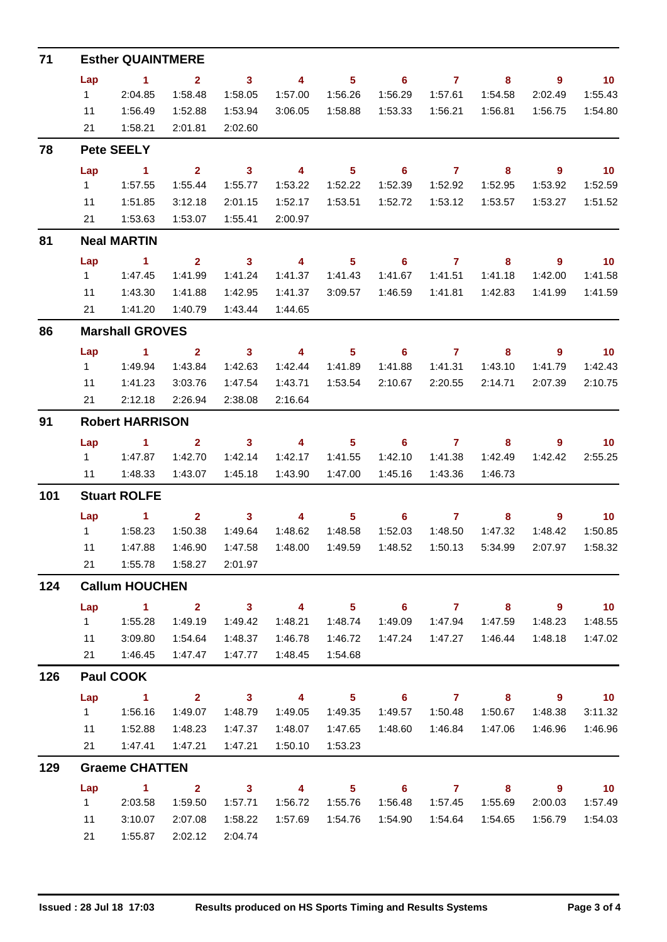| 71  | <b>Esther QUAINTMERE</b> |                               |                         |                         |                         |                            |                            |                     |         |                          |                             |  |  |
|-----|--------------------------|-------------------------------|-------------------------|-------------------------|-------------------------|----------------------------|----------------------------|---------------------|---------|--------------------------|-----------------------------|--|--|
|     | Lap                      | $\sim$ 1                      | $\overline{\mathbf{2}}$ | $\overline{\mathbf{3}}$ | $\overline{\mathbf{4}}$ | 5 <sub>5</sub>             | $\overline{\phantom{0}}$ 6 | $\overline{7}$      | 8       | - 9                      | $\blacksquare$ 10           |  |  |
|     | $1 \quad \Box$           | 2:04.85                       | 1:58.48                 | 1:58.05                 | 1:57.00                 | 1:56.26                    | 1:56.29                    | 1:57.61             | 1:54.58 | 2:02.49                  | 1:55.43                     |  |  |
|     | 11                       | 1:56.49                       | 1:52.88                 | 1:53.94                 |                         | 3:06.05 1:58.88            | 1:53.33                    | 1:56.21             | 1:56.81 | 1:56.75                  | 1:54.80                     |  |  |
|     | 21                       | 1:58.21                       | 2:01.81                 | 2:02.60                 |                         |                            |                            |                     |         |                          |                             |  |  |
| 78  |                          | <b>Pete SEELY</b>             |                         |                         |                         |                            |                            |                     |         |                          |                             |  |  |
|     | Lap                      | $\sim$ 1                      | $\overline{\mathbf{2}}$ | $\overline{\mathbf{3}}$ | $\overline{\mathbf{4}}$ | 5 <sup>5</sup>             | $\overline{\phantom{0}}$ 6 | $\overline{7}$      | 8       | $9^{\circ}$              | $\overline{10}$             |  |  |
|     | $1 \quad$                | 1:57.55                       | 1:55.44                 | 1:55.77                 | 1:53.22                 | 1:52.22                    | 1:52.39                    | 1:52.92             | 1:52.95 | 1:53.92                  | 1:52.59                     |  |  |
|     | 11                       | 1:51.85                       | 3:12.18                 | 2:01.15                 | 1:52.17                 | 1:53.51                    | 1:52.72                    | 1:53.12             | 1:53.57 | 1:53.27                  | 1:51.52                     |  |  |
|     | 21                       | 1:53.63                       | 1:53.07                 | 1:55.41                 | 2:00.97                 |                            |                            |                     |         |                          |                             |  |  |
| 81  |                          | <b>Neal MARTIN</b>            |                         |                         |                         |                            |                            |                     |         |                          |                             |  |  |
|     | Lap                      | $\sim$ 1                      | $\overline{2}$          | $\sim$ 3                | $\overline{4}$          | 5 <sup>5</sup>             | 6                          | $\overline{7}$      | 8       | 9                        | $\overline{10}$             |  |  |
|     | $1 \quad$                | 1:47.45                       | 1:41.99                 | 1:41.24                 | 1:41.37                 | 1:41.43                    | 1:41.67                    | 1:41.51             | 1:41.18 | 1:42.00                  | 1:41.58                     |  |  |
|     | 11                       | 1:43.30                       | 1:41.88                 | 1:42.95                 | 1:41.37                 | 3:09.57                    | 1:46.59                    | 1:41.81             | 1:42.83 | 1:41.99                  | 1:41.59                     |  |  |
|     | 21                       | 1:41.20                       | 1:40.79                 | 1:43.44                 | 1:44.65                 |                            |                            |                     |         |                          |                             |  |  |
| 86  |                          | <b>Marshall GROVES</b>        |                         |                         |                         |                            |                            |                     |         |                          |                             |  |  |
|     | Lap                      | $\overline{1}$ $\overline{2}$ |                         | $\overline{\mathbf{3}}$ | $\overline{4}$          | 5 <sub>5</sub>             |                            | $6 \qquad \qquad 7$ | 8       | $\overline{\phantom{a}}$ | $\overline{\mathbf{10}}$    |  |  |
|     | $1 \quad$                | 1:49.94                       | 1:43.84                 | 1:42.63                 | 1:42.44                 | 1:41.89                    | 1:41.88                    | 1:41.31             | 1:43.10 | 1:41.79                  | 1:42.43                     |  |  |
|     | 11                       | 1:41.23                       | 3:03.76                 | 1:47.54                 | 1:43.71                 | 1:53.54                    | 2:10.67                    | 2:20.55             | 2:14.71 | 2:07.39                  | 2:10.75                     |  |  |
|     | 21                       | 2:12.18                       | 2:26.94                 | 2:38.08                 | 2:16.64                 |                            |                            |                     |         |                          |                             |  |  |
| 91  |                          | <b>Robert HARRISON</b>        |                         |                         |                         |                            |                            |                     |         |                          |                             |  |  |
|     | Lap                      | $\sim$ 1                      | $\overline{\mathbf{2}}$ | $\overline{\mathbf{3}}$ | $\overline{4}$          | 5 <sub>1</sub>             |                            | $6 \overline{7}$    | 8       | 9                        | $\blacksquare$ 10           |  |  |
|     |                          | 1 1:47.87                     | 1:42.70                 | 1:42.14                 | 1:42.17                 | 1:41.55                    | 1:42.10                    | 1:41.38             | 1:42.49 | 1:42.42                  | 2:55.25                     |  |  |
|     | 11                       | 1:48.33                       | 1:43.07                 | 1:45.18                 | 1:43.90                 | 1:47.00                    | 1:45.16                    | 1:43.36             | 1:46.73 |                          |                             |  |  |
| 101 |                          | <b>Stuart ROLFE</b>           |                         |                         |                         |                            |                            |                     |         |                          |                             |  |  |
|     | Lap                      | $\sim$ 1                      | $2^{\circ}$             | $\overline{\mathbf{3}}$ | $\overline{\mathbf{4}}$ | 5 <sub>1</sub>             | 6                          | $\overline{7}$      | 8       | 9                        | 10                          |  |  |
|     |                          |                               | 1:50.38                 | 1:49.64                 | 1:48.62                 | 1:48.58                    | 1:52.03                    | 1:48.50             | 1:47.32 | 1:48.42                  | 1:50.85                     |  |  |
|     | 11                       | 1:47.88                       | 1:46.90                 | 1:47.58                 | 1:48.00                 | 1:49.59                    | 1:48.52                    | 1:50.13             | 5:34.99 | 2:07.97                  | 1:58.32                     |  |  |
|     | 21                       | 1:55.78                       | 1:58.27                 | 2:01.97                 |                         |                            |                            |                     |         |                          |                             |  |  |
| 124 |                          | <b>Callum HOUCHEN</b>         |                         |                         |                         |                            |                            |                     |         |                          |                             |  |  |
|     | Lap                      | $\overline{1}$ $\overline{2}$ |                         | $\overline{\mathbf{3}}$ | $\overline{4}$          | 5 <sub>1</sub>             | $\overline{\phantom{0}}$ 6 | $7 \t 8$            |         | $\overline{\phantom{a}}$ | $\overline{10}$             |  |  |
|     | $1 \quad$                | 1:55.28                       | 1:49.19                 | 1:49.42                 | 1:48.21                 | 1:48.74                    | 1:49.09                    | 1:47.94             | 1:47.59 | 1:48.23                  | 1:48.55                     |  |  |
|     | 11                       | 3:09.80                       | 1:54.64                 | 1:48.37                 | 1:46.78                 | 1:46.72                    | 1:47.24                    | 1:47.27             | 1:46.44 | 1:48.18                  | 1:47.02                     |  |  |
|     | 21                       | 1:46.45                       | 1:47.47                 | 1:47.77                 | 1:48.45                 | 1:54.68                    |                            |                     |         |                          |                             |  |  |
| 126 |                          | <b>Paul COOK</b>              |                         |                         |                         |                            |                            |                     |         |                          |                             |  |  |
|     | Lap                      | $\sim$ 1                      | $\overline{\mathbf{2}}$ | $\overline{\mathbf{3}}$ | $\overline{4}$          | 5 <sub>1</sub>             | $\overline{\phantom{0}}$ 6 | $\overline{7}$      | 8       | - 9                      | $\overline{10}$             |  |  |
|     | $1 \quad$                | 1:56.16                       | 1:49.07                 | 1:48.79                 | 1:49.05                 | 1:49.35                    | 1:49.57                    | 1:50.48             | 1:50.67 | 1:48.38                  | 3:11.32                     |  |  |
|     | 11                       | 1:52.88                       | 1:48.23                 | 1:47.37                 | 1:48.07                 | 1:47.65                    | 1:48.60                    |                     |         | 1:46.96                  | 1:46.96                     |  |  |
|     |                          | 21   1:47.41                  | 1:47.21                 | 1:47.21                 | 1:50.10                 | 1:53.23                    |                            |                     |         |                          |                             |  |  |
| 129 |                          | <b>Graeme CHATTEN</b>         |                         |                         |                         |                            |                            |                     |         |                          |                             |  |  |
|     | Lap                      | $\overline{1}$ $\overline{2}$ |                         | $\overline{\mathbf{3}}$ | $\overline{4}$          | $\overline{\phantom{1}}$ 5 |                            | $6$ $7$ $8$         |         | $\overline{\phantom{a}}$ | $\overline{\phantom{0}}$ 10 |  |  |
|     | $1 \quad$                | 2:03.58                       | 1:59.50                 | 1:57.71                 | 1:56.72                 | 1:55.76                    | 1:56.48                    | 1:57.45             | 1:55.69 | 2:00.03                  | 1:57.49                     |  |  |
|     | 11                       | 3:10.07                       | 2:07.08                 | 1:58.22                 |                         | 1:57.69  1:54.76           | 1:54.90                    | 1:54.64             | 1:54.65 | 1:56.79                  | 1:54.03                     |  |  |
|     | 21                       | 1:55.87                       | 2:02.12                 | 2:04.74                 |                         |                            |                            |                     |         |                          |                             |  |  |